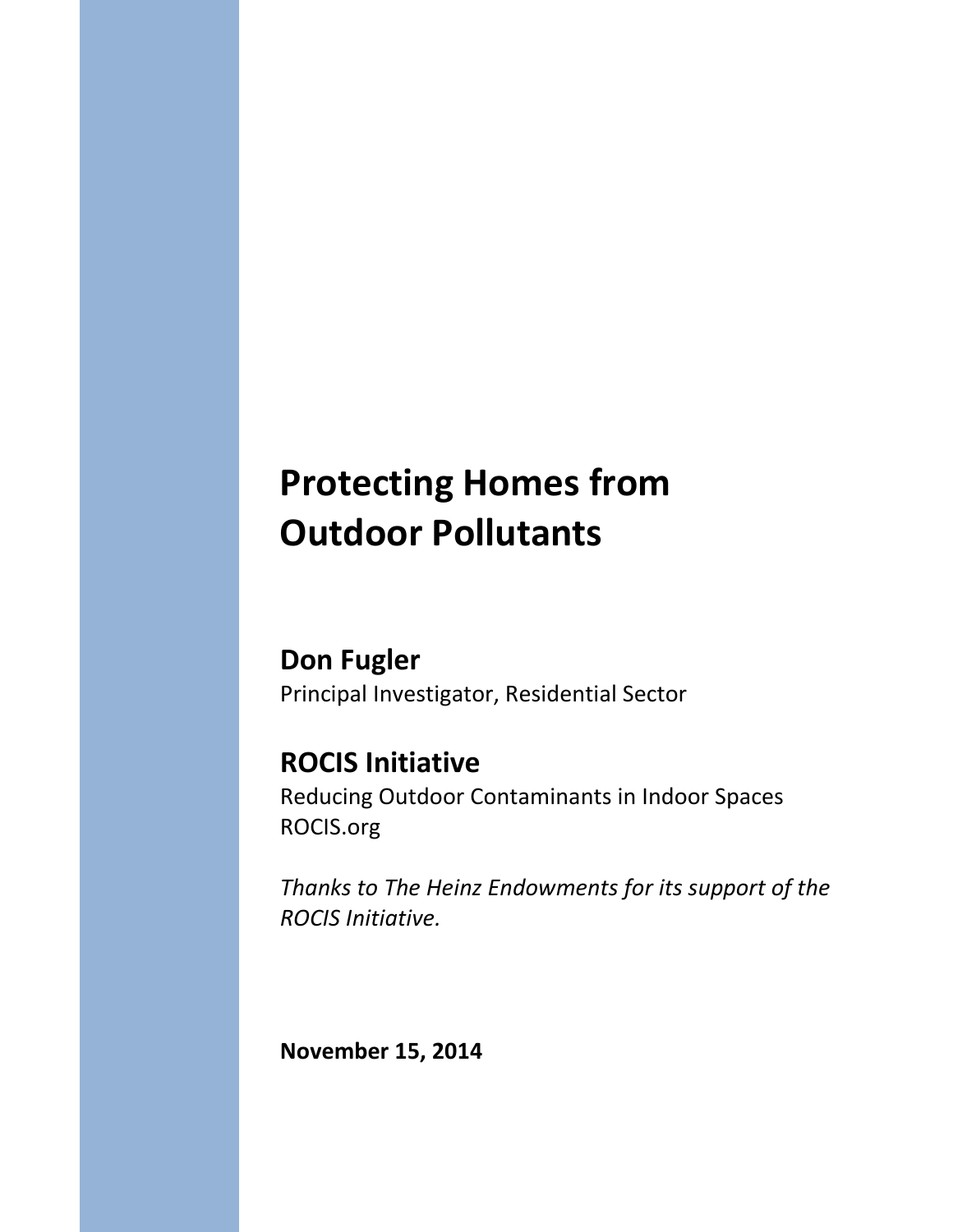# **Protecting Homes from Outdoor Pollutants**

**Don Fugler** Principal Investigator, Residential Sector

# **ROCIS Initiative**

Reducing Outdoor Contaminants in Indoor Spaces ROCIS.org

*Thanks to The Heinz Endowments for its support of the ROCIS Initiative.*

**November 15, 2014**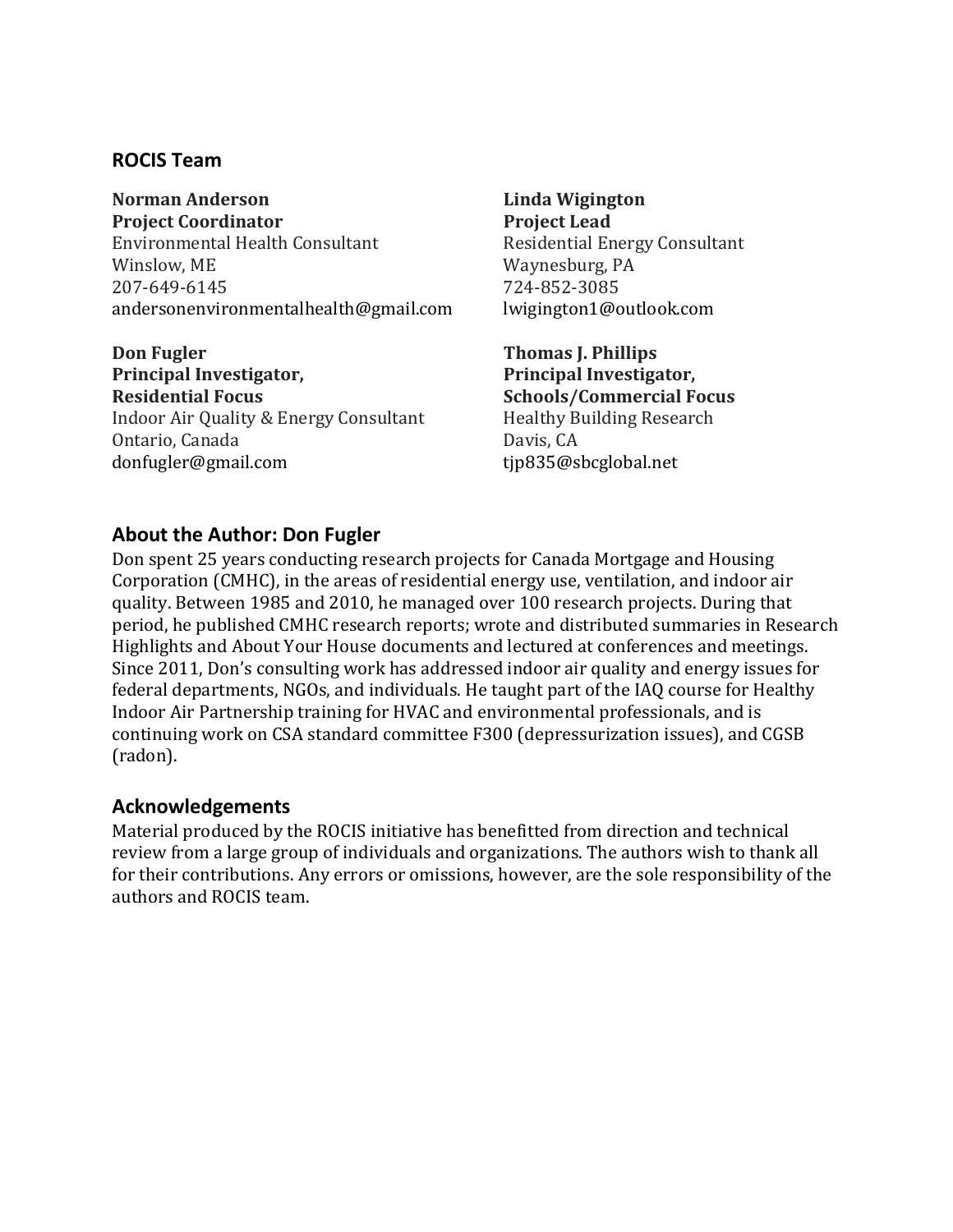#### **ROCIS Team**

**Norman Anderson Project Coordinator** Environmental Health Consultant Winslow, ME 207-649-6145 [andersonenvironmentalhealth@gmail.com](mailto:andersonenvironmentalhealth@gmail.com)

**Don Fugler Principal Investigator, Residential Focus** Indoor Air Quality & Energy Consultant Ontario, Canada [donfugler@gmail.com](mailto:donfugler@gmail.com)

**Linda Wigington Project Lead** Residential Energy Consultant Waynesburg, PA 724-852-3085 [lwigington1@outlook.com](mailto:lwigington1@outlook.com)

**Thomas J. Phillips Principal Investigator, Schools/Commercial Focus** Healthy Building Research Davis, CA [tjp835@sbcglobal.net](mailto:tjp835@sbcglobal.net)

#### **About the Author: Don Fugler**

Don spent 25 years conducting research projects for Canada Mortgage and Housing Corporation (CMHC), in the areas of residential energy use, ventilation, and indoor air quality. Between 1985 and 2010, he managed over 100 research projects. During that period, he published CMHC research reports; wrote and distributed summaries in Research Highlights and About Your House documents and lectured at conferences and meetings. Since 2011, Don's consulting work has addressed indoor air quality and energy issues for federal departments, NGOs, and individuals. He taught part of the IAQ course for Healthy Indoor Air Partnership training for HVAC and environmental professionals, and is continuing work on CSA standard committee F300 (depressurization issues), and CGSB (radon).

#### **Acknowledgements**

Material produced by the ROCIS initiative has benefitted from direction and technical review from a large group of individuals and organizations. The authors wish to thank all for their contributions. Any errors or omissions, however, are the sole responsibility of the authors and ROCIS team.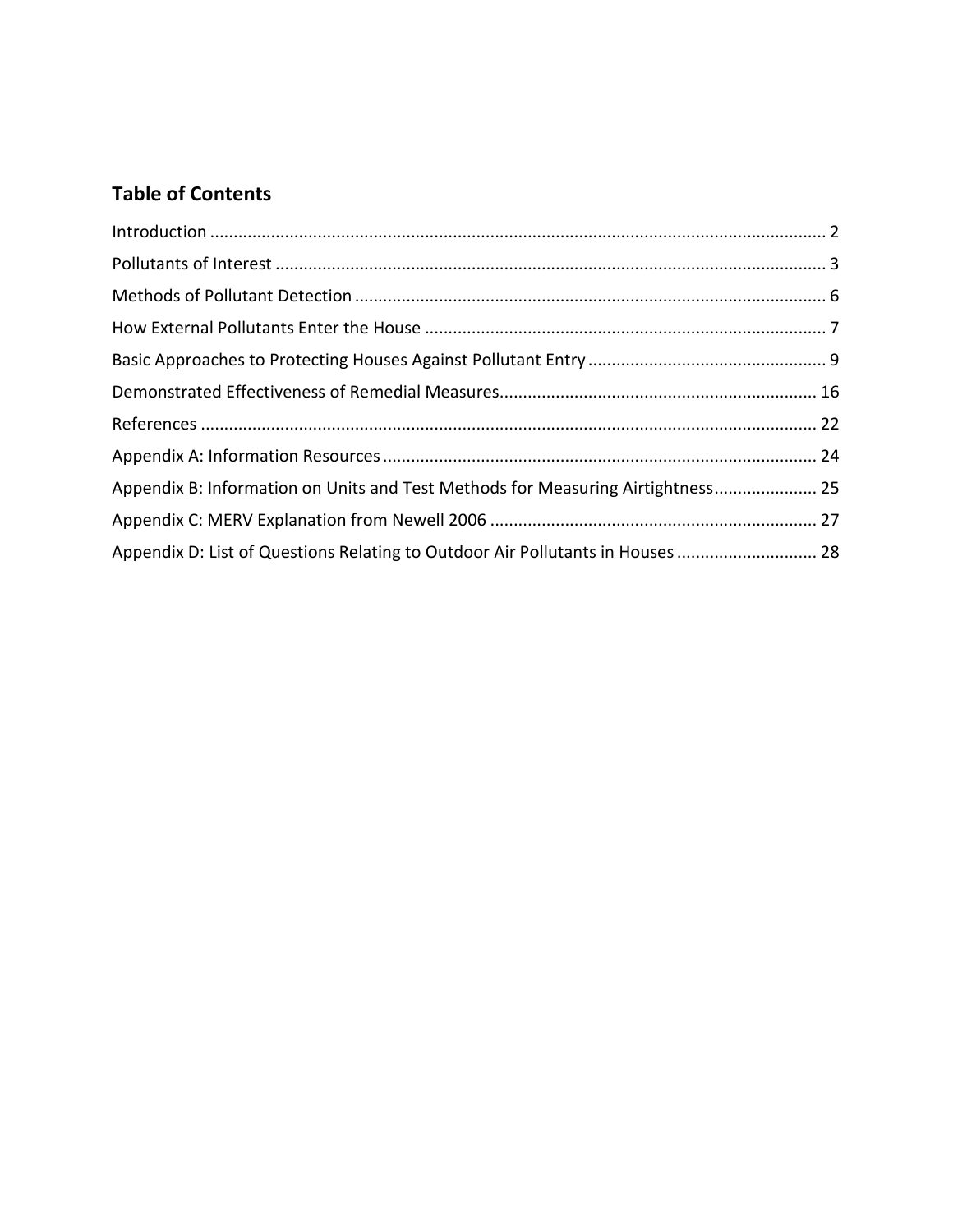# **Table of Contents**

| Appendix B: Information on Units and Test Methods for Measuring Airtightness 25 |
|---------------------------------------------------------------------------------|
|                                                                                 |
| Appendix D: List of Questions Relating to Outdoor Air Pollutants in Houses  28  |
|                                                                                 |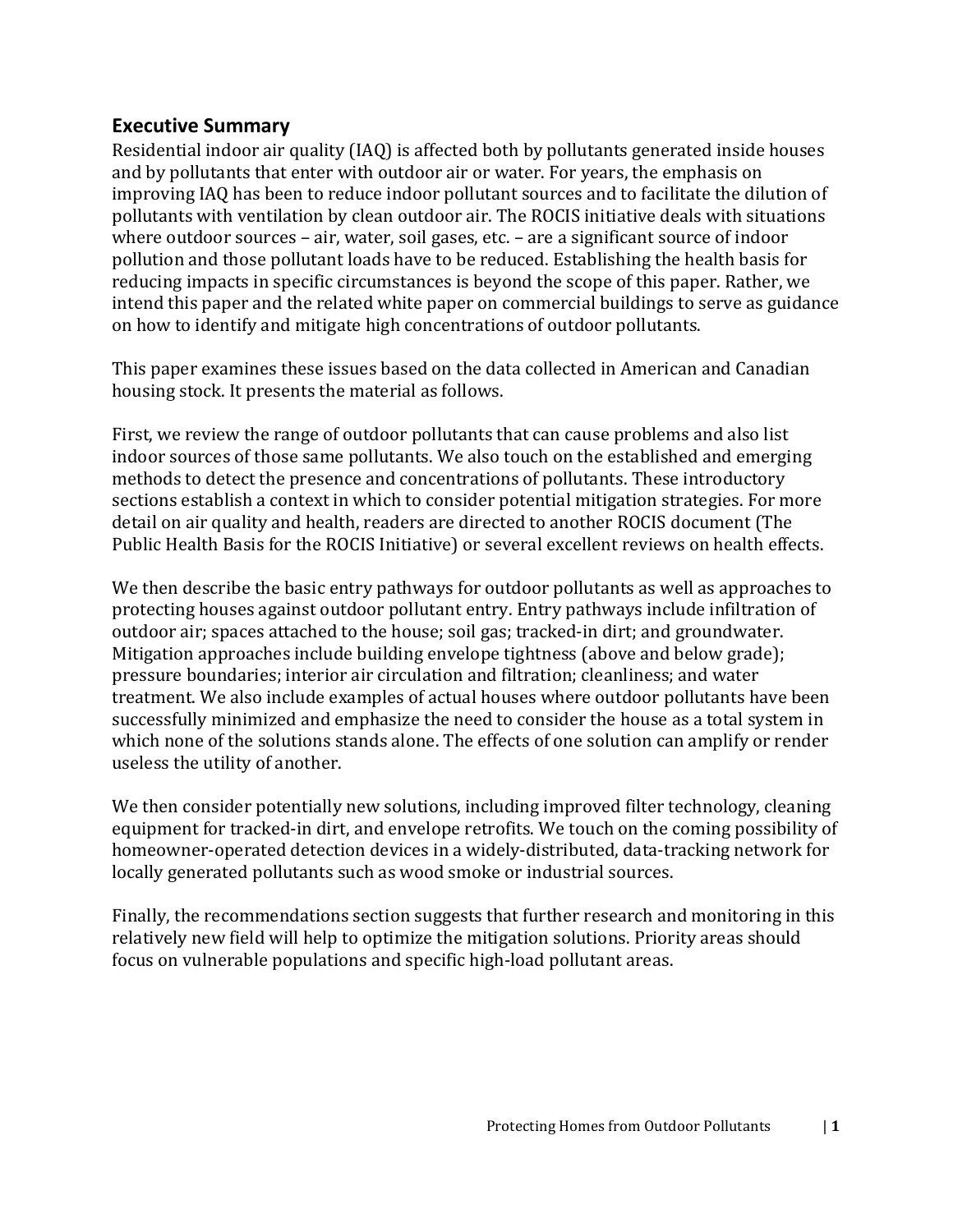#### **Executive Summary**

Residential indoor air quality (IAQ) is affected both by pollutants generated inside houses and by pollutants that enter with outdoor air or water. For years, the emphasis on improving IAQ has been to reduce indoor pollutant sources and to facilitate the dilution of pollutants with ventilation by clean outdoor air. The ROCIS initiative deals with situations where outdoor sources – air, water, soil gases, etc. – are a significant source of indoor pollution and those pollutant loads have to be reduced. Establishing the health basis for reducing impacts in specific circumstances is beyond the scope of this paper. Rather, we intend this paper and the related white paper on commercial buildings to serve as guidance on how to identify and mitigate high concentrations of outdoor pollutants.

This paper examines these issues based on the data collected in American and Canadian housing stock. It presents the material as follows.

First, we review the range of outdoor pollutants that can cause problems and also list indoor sources of those same pollutants. We also touch on the established and emerging methods to detect the presence and concentrations of pollutants. These introductory sections establish a context in which to consider potential mitigation strategies. For more detail on air quality and health, readers are directed to another ROCIS document (The Public Health Basis for the ROCIS Initiative) or several excellent reviews on health effects.

We then describe the basic entry pathways for outdoor pollutants as well as approaches to protecting houses against outdoor pollutant entry. Entry pathways include infiltration of outdoor air; spaces attached to the house; soil gas; tracked-in dirt; and groundwater. Mitigation approaches include building envelope tightness (above and below grade); pressure boundaries; interior air circulation and filtration; cleanliness; and water treatment. We also include examples of actual houses where outdoor pollutants have been successfully minimized and emphasize the need to consider the house as a total system in which none of the solutions stands alone. The effects of one solution can amplify or render useless the utility of another.

We then consider potentially new solutions, including improved filter technology, cleaning equipment for tracked-in dirt, and envelope retrofits. We touch on the coming possibility of homeowner-operated detection devices in a widely-distributed, data-tracking network for locally generated pollutants such as wood smoke or industrial sources.

Finally, the recommendations section suggests that further research and monitoring in this relatively new field will help to optimize the mitigation solutions. Priority areas should focus on vulnerable populations and specific high-load pollutant areas.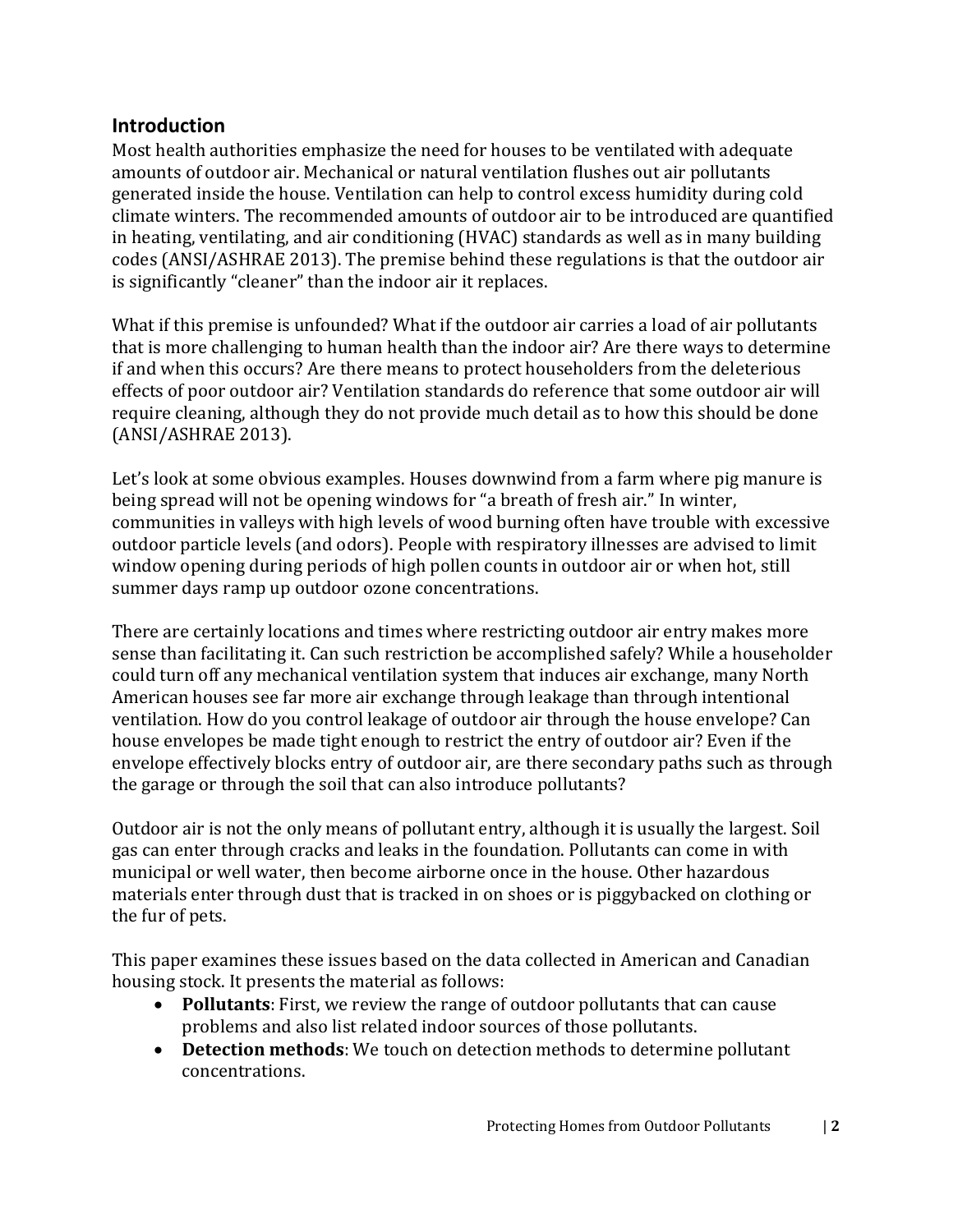### <span id="page-4-0"></span>**Introduction**

Most health authorities emphasize the need for houses to be ventilated with adequate amounts of outdoor air. Mechanical or natural ventilation flushes out air pollutants generated inside the house. Ventilation can help to control excess humidity during cold climate winters. The recommended amounts of outdoor air to be introduced are quantified in heating, ventilating, and air conditioning (HVAC) standards as well as in many building codes (ANSI/ASHRAE 2013). The premise behind these regulations is that the outdoor air is significantly "cleaner" than the indoor air it replaces.

What if this premise is unfounded? What if the outdoor air carries a load of air pollutants that is more challenging to human health than the indoor air? Are there ways to determine if and when this occurs? Are there means to protect householders from the deleterious effects of poor outdoor air? Ventilation standards do reference that some outdoor air will require cleaning, although they do not provide much detail as to how this should be done (ANSI/ASHRAE 2013).

Let's look at some obvious examples. Houses downwind from a farm where pig manure is being spread will not be opening windows for "a breath of fresh air." In winter, communities in valleys with high levels of wood burning often have trouble with excessive outdoor particle levels (and odors). People with respiratory illnesses are advised to limit window opening during periods of high pollen counts in outdoor air or when hot, still summer days ramp up outdoor ozone concentrations.

There are certainly locations and times where restricting outdoor air entry makes more sense than facilitating it. Can such restriction be accomplished safely? While a householder could turn off any mechanical ventilation system that induces air exchange, many North American houses see far more air exchange through leakage than through intentional ventilation. How do you control leakage of outdoor air through the house envelope? Can house envelopes be made tight enough to restrict the entry of outdoor air? Even if the envelope effectively blocks entry of outdoor air, are there secondary paths such as through the garage or through the soil that can also introduce pollutants?

Outdoor air is not the only means of pollutant entry, although it is usually the largest. Soil gas can enter through cracks and leaks in the foundation. Pollutants can come in with municipal or well water, then become airborne once in the house. Other hazardous materials enter through dust that is tracked in on shoes or is piggybacked on clothing or the fur of pets.

This paper examines these issues based on the data collected in American and Canadian housing stock. It presents the material as follows:

- **Pollutants**: First, we review the range of outdoor pollutants that can cause problems and also list related indoor sources of those pollutants.
- **Detection methods**: We touch on detection methods to determine pollutant concentrations.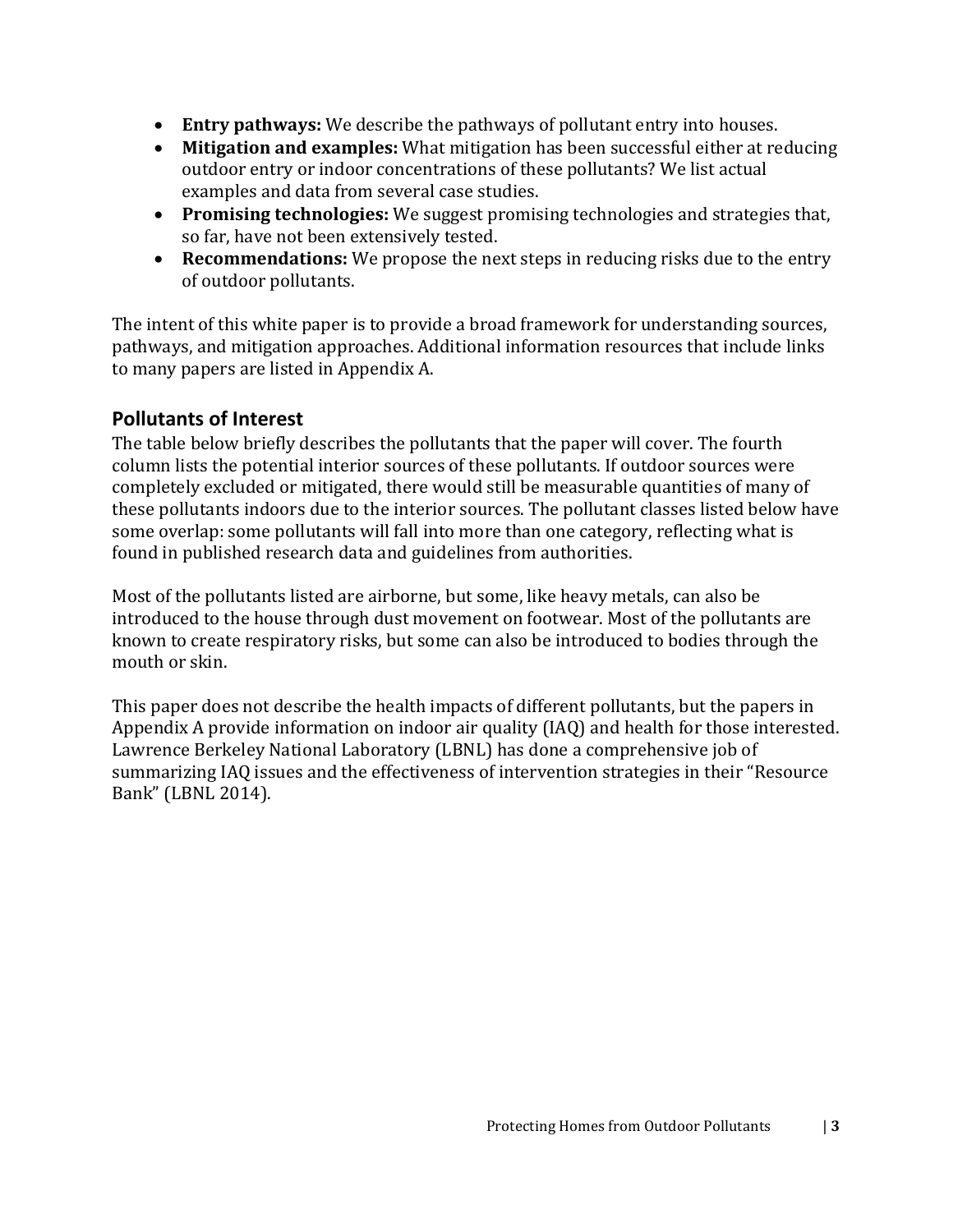- **Entry pathways:** We describe the pathways of pollutant entry into houses.
- **Mitigation and examples:** What mitigation has been successful either at reducing outdoor entry or indoor concentrations of these pollutants? We list actual examples and data from several case studies.
- **Promising technologies:** We suggest promising technologies and strategies that, so far, have not been extensively tested.
- **Recommendations:** We propose the next steps in reducing risks due to the entry of outdoor pollutants.

The intent of this white paper is to provide a broad framework for understanding sources, pathways, and mitigation approaches. Additional information resources that include links to many papers are listed in Appendix A.

# <span id="page-5-0"></span>**Pollutants of Interest**

The table below briefly describes the pollutants that the paper will cover. The fourth column lists the potential interior sources of these pollutants. If outdoor sources were completely excluded or mitigated, there would still be measurable quantities of many of these pollutants indoors due to the interior sources. The pollutant classes listed below have some overlap: some pollutants will fall into more than one category, reflecting what is found in published research data and guidelines from authorities.

Most of the pollutants listed are airborne, but some, like heavy metals, can also be introduced to the house through dust movement on footwear. Most of the pollutants are known to create respiratory risks, but some can also be introduced to bodies through the mouth or skin.

This paper does not describe the health impacts of different pollutants, but the papers in Appendix A provide information on indoor air quality (IAQ) and health for those interested. Lawrence Berkeley National Laboratory (LBNL) has done a comprehensive job of summarizing IAQ issues and the effectiveness of intervention strategies in their "Resource Bank" (LBNL 2014).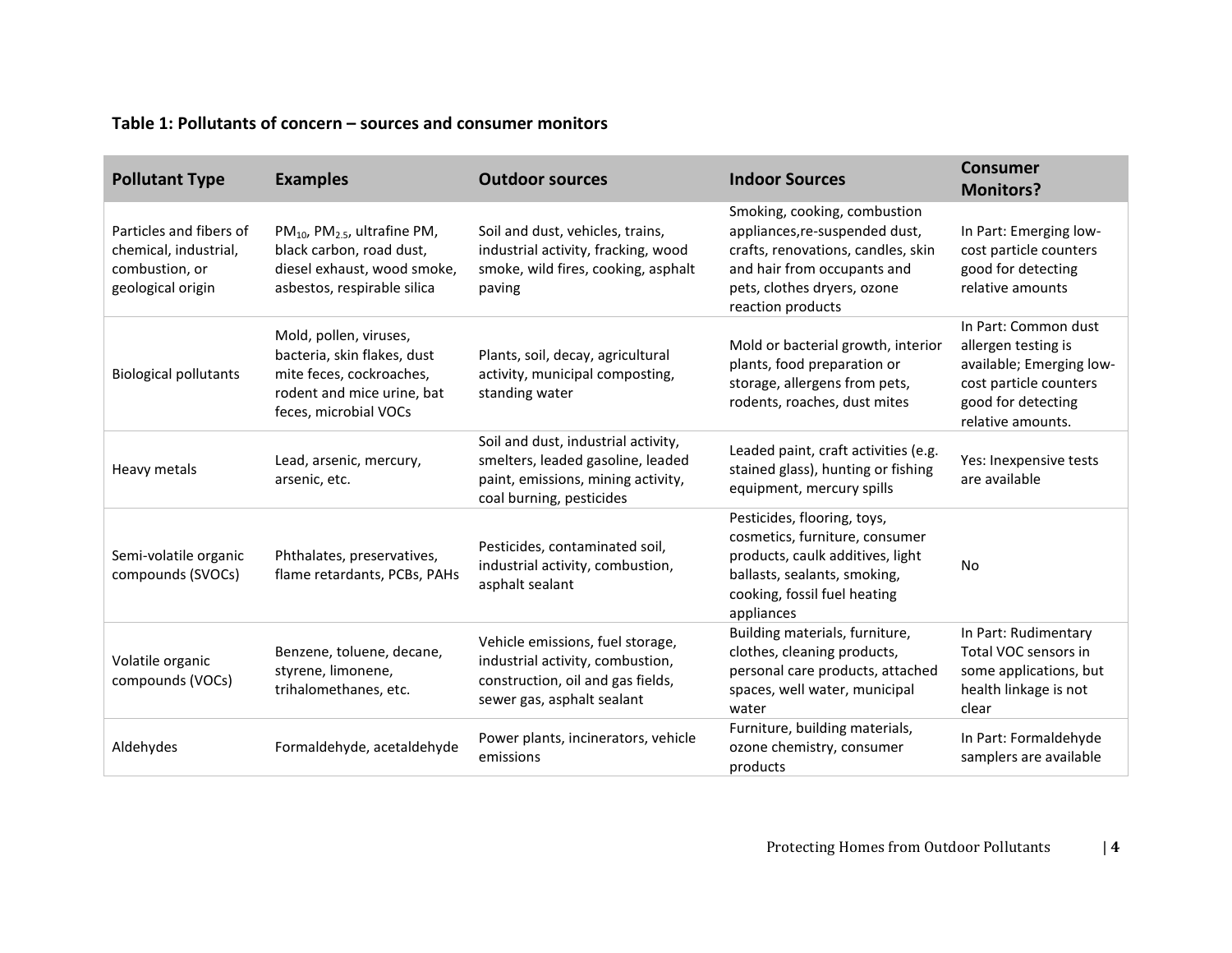#### **Table 1: Pollutants of concern – sources and consumer monitors**

| <b>Pollutant Type</b>                                                                   | <b>Examples</b>                                                                                                                          | <b>Outdoor sources</b>                                                                                                                     | <b>Indoor Sources</b>                                                                                                                                                                   | <b>Consumer</b><br><b>Monitors?</b>                                                                                                          |
|-----------------------------------------------------------------------------------------|------------------------------------------------------------------------------------------------------------------------------------------|--------------------------------------------------------------------------------------------------------------------------------------------|-----------------------------------------------------------------------------------------------------------------------------------------------------------------------------------------|----------------------------------------------------------------------------------------------------------------------------------------------|
| Particles and fibers of<br>chemical, industrial,<br>combustion, or<br>geological origin | $PM_{10}$ , PM <sub>2.5</sub> , ultrafine PM,<br>black carbon, road dust,<br>diesel exhaust, wood smoke,<br>asbestos, respirable silica  | Soil and dust, vehicles, trains,<br>industrial activity, fracking, wood<br>smoke, wild fires, cooking, asphalt<br>paving                   | Smoking, cooking, combustion<br>appliances, re-suspended dust,<br>crafts, renovations, candles, skin<br>and hair from occupants and<br>pets, clothes dryers, ozone<br>reaction products | In Part: Emerging low-<br>cost particle counters<br>good for detecting<br>relative amounts                                                   |
| <b>Biological pollutants</b>                                                            | Mold, pollen, viruses,<br>bacteria, skin flakes, dust<br>mite feces, cockroaches,<br>rodent and mice urine, bat<br>feces, microbial VOCs | Plants, soil, decay, agricultural<br>activity, municipal composting,<br>standing water                                                     | Mold or bacterial growth, interior<br>plants, food preparation or<br>storage, allergens from pets,<br>rodents, roaches, dust mites                                                      | In Part: Common dust<br>allergen testing is<br>available; Emerging low-<br>cost particle counters<br>good for detecting<br>relative amounts. |
| Heavy metals                                                                            | Lead, arsenic, mercury,<br>arsenic, etc.                                                                                                 | Soil and dust, industrial activity,<br>smelters, leaded gasoline, leaded<br>paint, emissions, mining activity,<br>coal burning, pesticides | Leaded paint, craft activities (e.g.<br>stained glass), hunting or fishing<br>equipment, mercury spills                                                                                 | Yes: Inexpensive tests<br>are available                                                                                                      |
| Semi-volatile organic<br>compounds (SVOCs)                                              | Phthalates, preservatives,<br>flame retardants, PCBs, PAHs                                                                               | Pesticides, contaminated soil,<br>industrial activity, combustion,<br>asphalt sealant                                                      | Pesticides, flooring, toys,<br>cosmetics, furniture, consumer<br>products, caulk additives, light<br>ballasts, sealants, smoking,<br>cooking, fossil fuel heating<br>appliances         | <b>No</b>                                                                                                                                    |
| Volatile organic<br>compounds (VOCs)                                                    | Benzene, toluene, decane,<br>styrene, limonene,<br>trihalomethanes, etc.                                                                 | Vehicle emissions, fuel storage,<br>industrial activity, combustion,<br>construction, oil and gas fields,<br>sewer gas, asphalt sealant    | Building materials, furniture,<br>clothes, cleaning products,<br>personal care products, attached<br>spaces, well water, municipal<br>water                                             | In Part: Rudimentary<br>Total VOC sensors in<br>some applications, but<br>health linkage is not<br>clear                                     |
| Aldehydes                                                                               | Formaldehyde, acetaldehyde                                                                                                               | Power plants, incinerators, vehicle<br>emissions                                                                                           | Furniture, building materials,<br>ozone chemistry, consumer<br>products                                                                                                                 | In Part: Formaldehyde<br>samplers are available                                                                                              |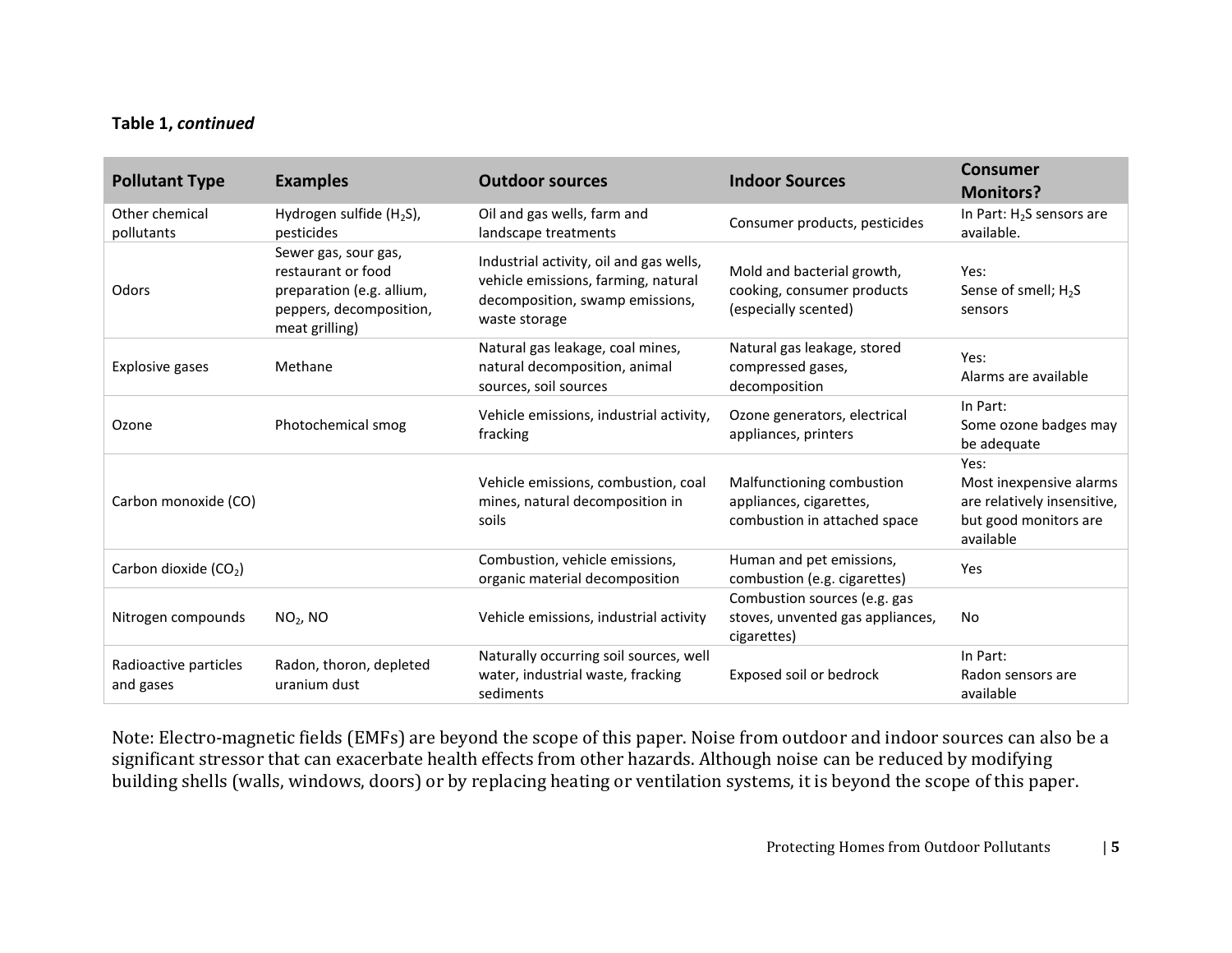#### **Table 1,** *continued*

| <b>Pollutant Type</b>              | <b>Examples</b>                                                                                                      | <b>Outdoor sources</b>                                                                                                             | <b>Indoor Sources</b>                                                                | <b>Consumer</b><br><b>Monitors?</b>                                                                  |
|------------------------------------|----------------------------------------------------------------------------------------------------------------------|------------------------------------------------------------------------------------------------------------------------------------|--------------------------------------------------------------------------------------|------------------------------------------------------------------------------------------------------|
| Other chemical<br>pollutants       | Hydrogen sulfide $(H_2S)$ ,<br>pesticides                                                                            | Oil and gas wells, farm and<br>landscape treatments                                                                                | Consumer products, pesticides                                                        | In Part: H <sub>2</sub> S sensors are<br>available.                                                  |
| Odors                              | Sewer gas, sour gas,<br>restaurant or food<br>preparation (e.g. allium,<br>peppers, decomposition,<br>meat grilling) | Industrial activity, oil and gas wells,<br>vehicle emissions, farming, natural<br>decomposition, swamp emissions,<br>waste storage | Mold and bacterial growth,<br>cooking, consumer products<br>(especially scented)     | Yes:<br>Sense of smell; H <sub>2</sub> S<br>sensors                                                  |
| Explosive gases                    | Methane                                                                                                              | Natural gas leakage, coal mines,<br>natural decomposition, animal<br>sources, soil sources                                         | Natural gas leakage, stored<br>compressed gases,<br>decomposition                    | Yes:<br>Alarms are available                                                                         |
| Ozone                              | Photochemical smog                                                                                                   | Vehicle emissions, industrial activity,<br>fracking                                                                                | Ozone generators, electrical<br>appliances, printers                                 | In Part:<br>Some ozone badges may<br>be adequate                                                     |
| Carbon monoxide (CO)               |                                                                                                                      | Vehicle emissions, combustion, coal<br>mines, natural decomposition in<br>soils                                                    | Malfunctioning combustion<br>appliances, cigarettes,<br>combustion in attached space | Yes:<br>Most inexpensive alarms<br>are relatively insensitive,<br>but good monitors are<br>available |
| Carbon dioxide (CO <sub>2</sub> )  |                                                                                                                      | Combustion, vehicle emissions,<br>organic material decomposition                                                                   | Human and pet emissions,<br>combustion (e.g. cigarettes)                             | Yes                                                                                                  |
| Nitrogen compounds                 | $NO2$ , NO                                                                                                           | Vehicle emissions, industrial activity                                                                                             | Combustion sources (e.g. gas<br>stoves, unvented gas appliances,<br>cigarettes)      | <b>No</b>                                                                                            |
| Radioactive particles<br>and gases | Radon, thoron, depleted<br>uranium dust                                                                              | Naturally occurring soil sources, well<br>water, industrial waste, fracking<br>sediments                                           | Exposed soil or bedrock                                                              | In Part:<br>Radon sensors are<br>available                                                           |

Note: Electro-magnetic fields (EMFs) are beyond the scope of this paper. Noise from outdoor and indoor sources can also be a significant stressor that can exacerbate health effects from other hazards. Although noise can be reduced by modifying building shells (walls, windows, doors) or by replacing heating or ventilation systems, it is beyond the scope of this paper.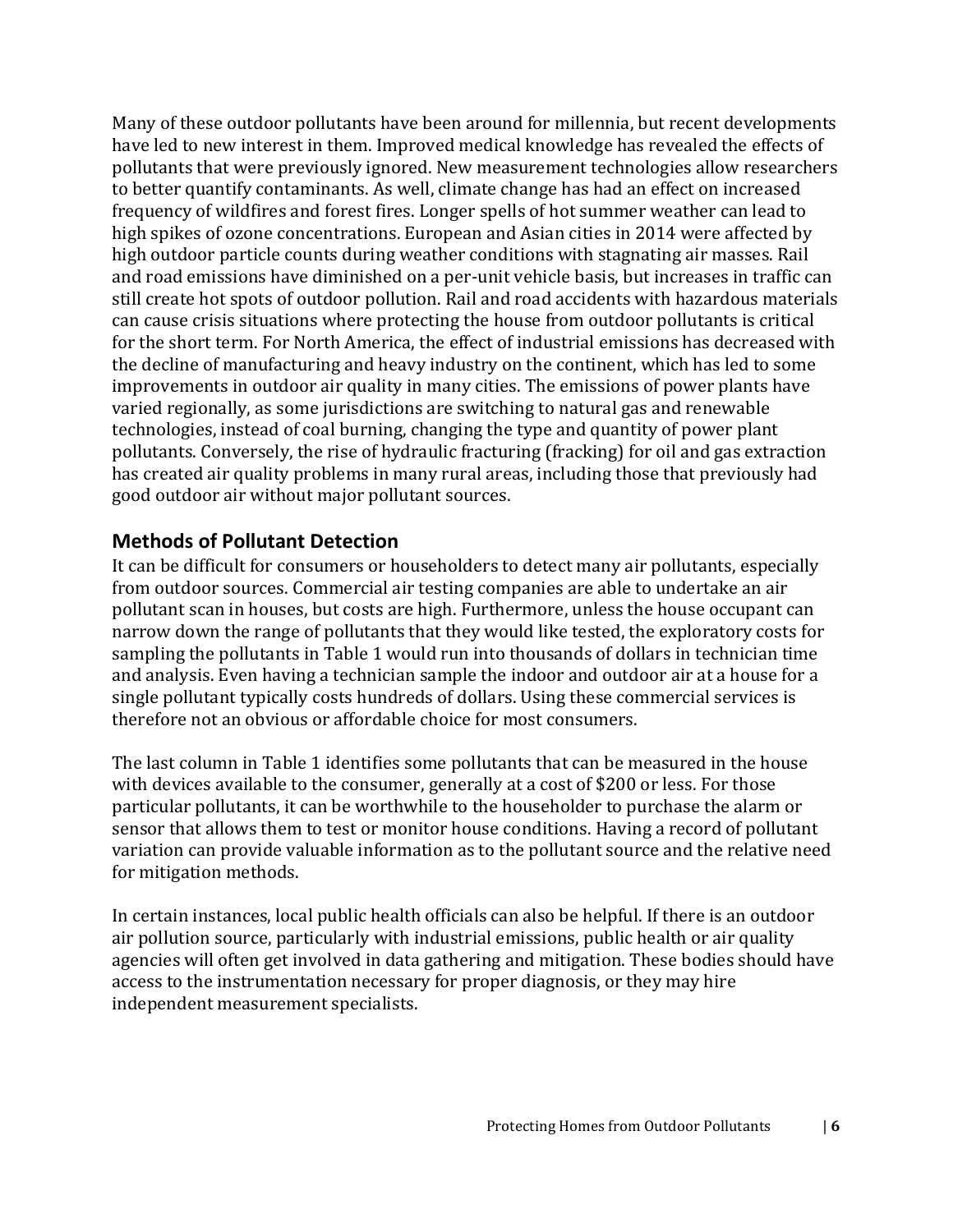Many of these outdoor pollutants have been around for millennia, but recent developments have led to new interest in them. Improved medical knowledge has revealed the effects of pollutants that were previously ignored. New measurement technologies allow researchers to better quantify contaminants. As well, climate change has had an effect on increased frequency of wildfires and forest fires. Longer spells of hot summer weather can lead to high spikes of ozone concentrations. European and Asian cities in 2014 were affected by high outdoor particle counts during weather conditions with stagnating air masses. Rail and road emissions have diminished on a per-unit vehicle basis, but increases in traffic can still create hot spots of outdoor pollution. Rail and road accidents with hazardous materials can cause crisis situations where protecting the house from outdoor pollutants is critical for the short term. For North America, the effect of industrial emissions has decreased with the decline of manufacturing and heavy industry on the continent, which has led to some improvements in outdoor air quality in many cities. The emissions of power plants have varied regionally, as some jurisdictions are switching to natural gas and renewable technologies, instead of coal burning, changing the type and quantity of power plant pollutants. Conversely, the rise of hydraulic fracturing (fracking) for oil and gas extraction has created air quality problems in many rural areas, including those that previously had good outdoor air without major pollutant sources.

#### <span id="page-8-0"></span>**Methods of Pollutant Detection**

It can be difficult for consumers or householders to detect many air pollutants, especially from outdoor sources. Commercial air testing companies are able to undertake an air pollutant scan in houses, but costs are high. Furthermore, unless the house occupant can narrow down the range of pollutants that they would like tested, the exploratory costs for sampling the pollutants in Table 1 would run into thousands of dollars in technician time and analysis. Even having a technician sample the indoor and outdoor air at a house for a single pollutant typically costs hundreds of dollars. Using these commercial services is therefore not an obvious or affordable choice for most consumers.

The last column in Table 1 identifies some pollutants that can be measured in the house with devices available to the consumer, generally at a cost of \$200 or less. For those particular pollutants, it can be worthwhile to the householder to purchase the alarm or sensor that allows them to test or monitor house conditions. Having a record of pollutant variation can provide valuable information as to the pollutant source and the relative need for mitigation methods.

In certain instances, local public health officials can also be helpful. If there is an outdoor air pollution source, particularly with industrial emissions, public health or air quality agencies will often get involved in data gathering and mitigation. These bodies should have access to the instrumentation necessary for proper diagnosis, or they may hire independent measurement specialists.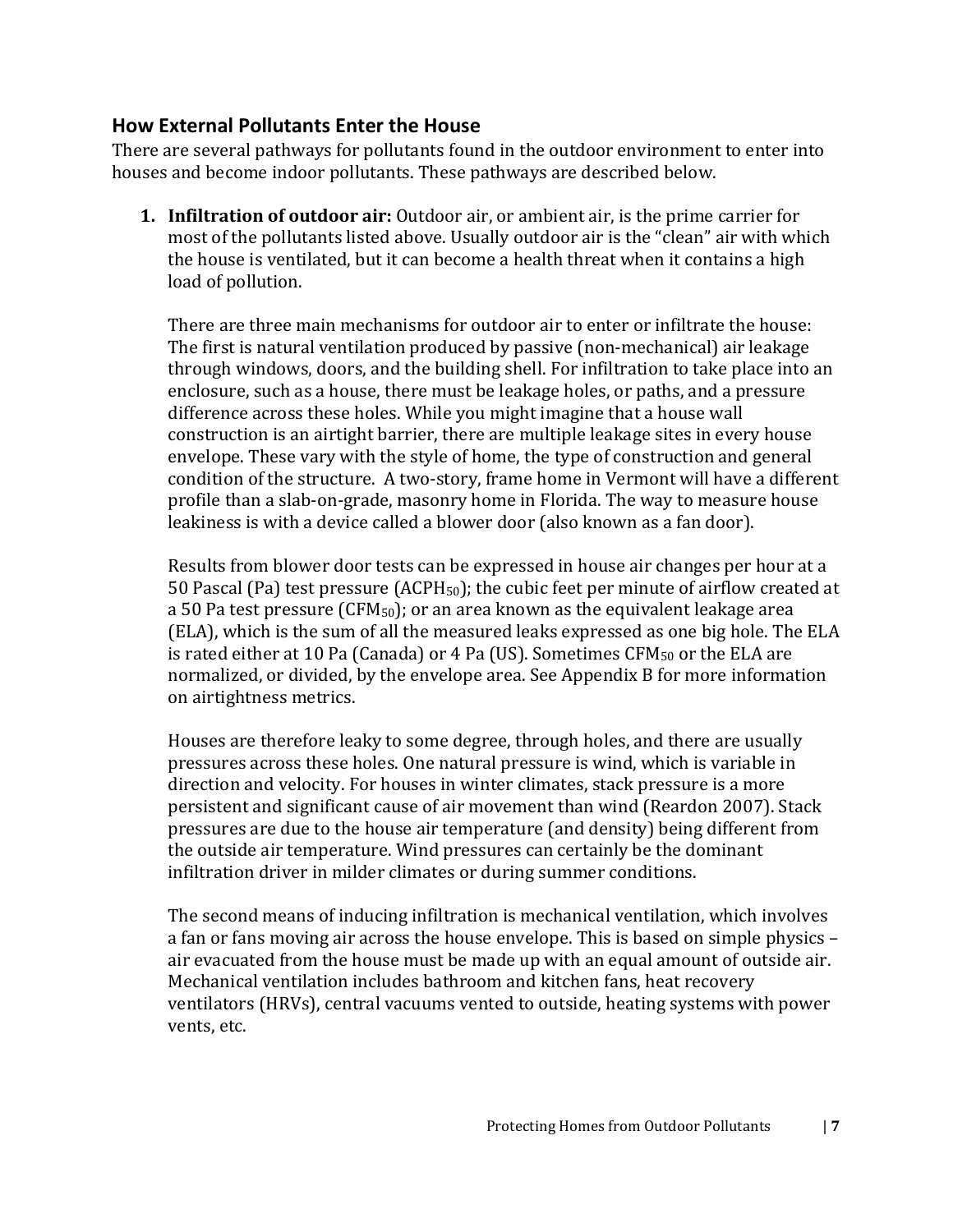#### <span id="page-9-0"></span>**How External Pollutants Enter the House**

There are several pathways for pollutants found in the outdoor environment to enter into houses and become indoor pollutants. These pathways are described below.

**1. Infiltration of outdoor air:** Outdoor air, or ambient air, is the prime carrier for most of the pollutants listed above. Usually outdoor air is the "clean" air with which the house is ventilated, but it can become a health threat when it contains a high load of pollution.

There are three main mechanisms for outdoor air to enter or infiltrate the house: The first is natural ventilation produced by passive (non-mechanical) air leakage through windows, doors, and the building shell. For infiltration to take place into an enclosure, such as a house, there must be leakage holes, or paths, and a pressure difference across these holes. While you might imagine that a house wall construction is an airtight barrier, there are multiple leakage sites in every house envelope. These vary with the style of home, the type of construction and general condition of the structure. A two-story, frame home in Vermont will have a different profile than a slab-on-grade, masonry home in Florida. The way to measure house leakiness is with a device called a blower door (also known as a fan door).

Results from blower door tests can be expressed in house air changes per hour at a 50 Pascal (Pa) test pressure (ACPH<sub>50</sub>); the cubic feet per minute of airflow created at a 50 Pa test pressure (CFM $_{50}$ ); or an area known as the equivalent leakage area (ELA), which is the sum of all the measured leaks expressed as one big hole. The ELA is rated either at 10 Pa (Canada) or 4 Pa (US). Sometimes CFM<sub>50</sub> or the ELA are normalized, or divided, by the envelope area. See Appendix B for more information on airtightness metrics.

Houses are therefore leaky to some degree, through holes, and there are usually pressures across these holes. One natural pressure is wind, which is variable in direction and velocity. For houses in winter climates, stack pressure is a more persistent and significant cause of air movement than wind (Reardon 2007). Stack pressures are due to the house air temperature (and density) being different from the outside air temperature. Wind pressures can certainly be the dominant infiltration driver in milder climates or during summer conditions.

The second means of inducing infiltration is mechanical ventilation, which involves a fan or fans moving air across the house envelope. This is based on simple physics – air evacuated from the house must be made up with an equal amount of outside air. Mechanical ventilation includes bathroom and kitchen fans, heat recovery ventilators (HRVs), central vacuums vented to outside, heating systems with power vents, etc.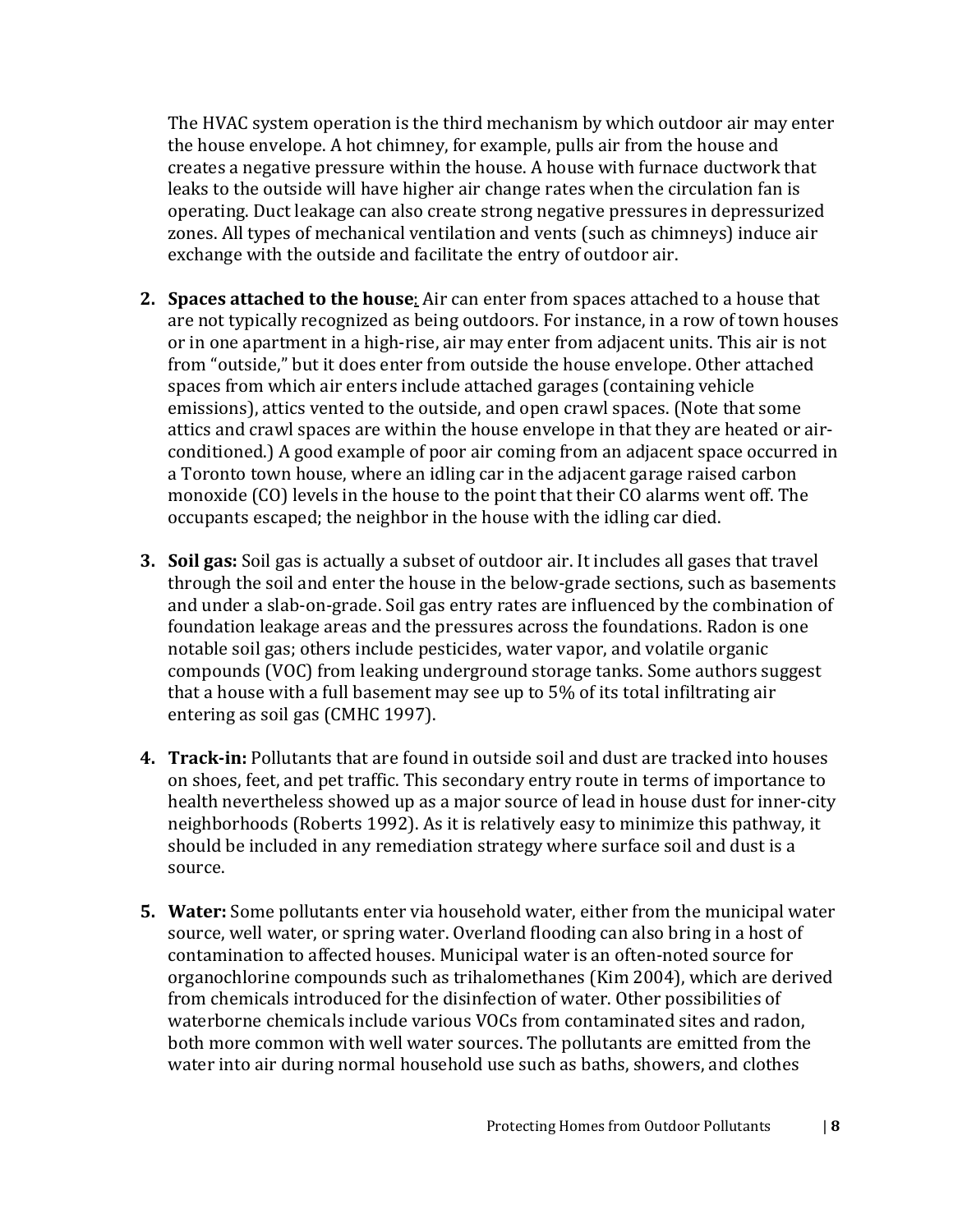The HVAC system operation is the third mechanism by which outdoor air may enter the house envelope. A hot chimney, for example, pulls air from the house and creates a negative pressure within the house. A house with furnace ductwork that leaks to the outside will have higher air change rates when the circulation fan is operating. Duct leakage can also create strong negative pressures in depressurized zones. All types of mechanical ventilation and vents (such as chimneys) induce air exchange with the outside and facilitate the entry of outdoor air.

- **2. Spaces attached to the house**: Air can enter from spaces attached to a house that are not typically recognized as being outdoors. For instance, in a row of town houses or in one apartment in a high-rise, air may enter from adjacent units. This air is not from "outside," but it does enter from outside the house envelope. Other attached spaces from which air enters include attached garages (containing vehicle emissions), attics vented to the outside, and open crawl spaces. (Note that some attics and crawl spaces are within the house envelope in that they are heated or airconditioned.) A good example of poor air coming from an adjacent space occurred in a Toronto town house, where an idling car in the adjacent garage raised carbon monoxide (CO) levels in the house to the point that their CO alarms went off. The occupants escaped; the neighbor in the house with the idling car died.
- **3. Soil gas:** Soil gas is actually a subset of outdoor air. It includes all gases that travel through the soil and enter the house in the below-grade sections, such as basements and under a slab-on-grade. Soil gas entry rates are influenced by the combination of foundation leakage areas and the pressures across the foundations. Radon is one notable soil gas; others include pesticides, water vapor, and volatile organic compounds (VOC) from leaking underground storage tanks. Some authors suggest that a house with a full basement may see up to 5% of its total infiltrating air entering as soil gas (CMHC 1997).
- **4. Track-in:** Pollutants that are found in outside soil and dust are tracked into houses on shoes, feet, and pet traffic. This secondary entry route in terms of importance to health nevertheless showed up as a major source of lead in house dust for inner-city neighborhoods (Roberts 1992). As it is relatively easy to minimize this pathway, it should be included in any remediation strategy where surface soil and dust is a source.
- **5. Water:** Some pollutants enter via household water, either from the municipal water source, well water, or spring water. Overland flooding can also bring in a host of contamination to affected houses. Municipal water is an often-noted source for organochlorine compounds such as trihalomethanes (Kim 2004), which are derived from chemicals introduced for the disinfection of water. Other possibilities of waterborne chemicals include various VOCs from contaminated sites and radon, both more common with well water sources. The pollutants are emitted from the water into air during normal household use such as baths, showers, and clothes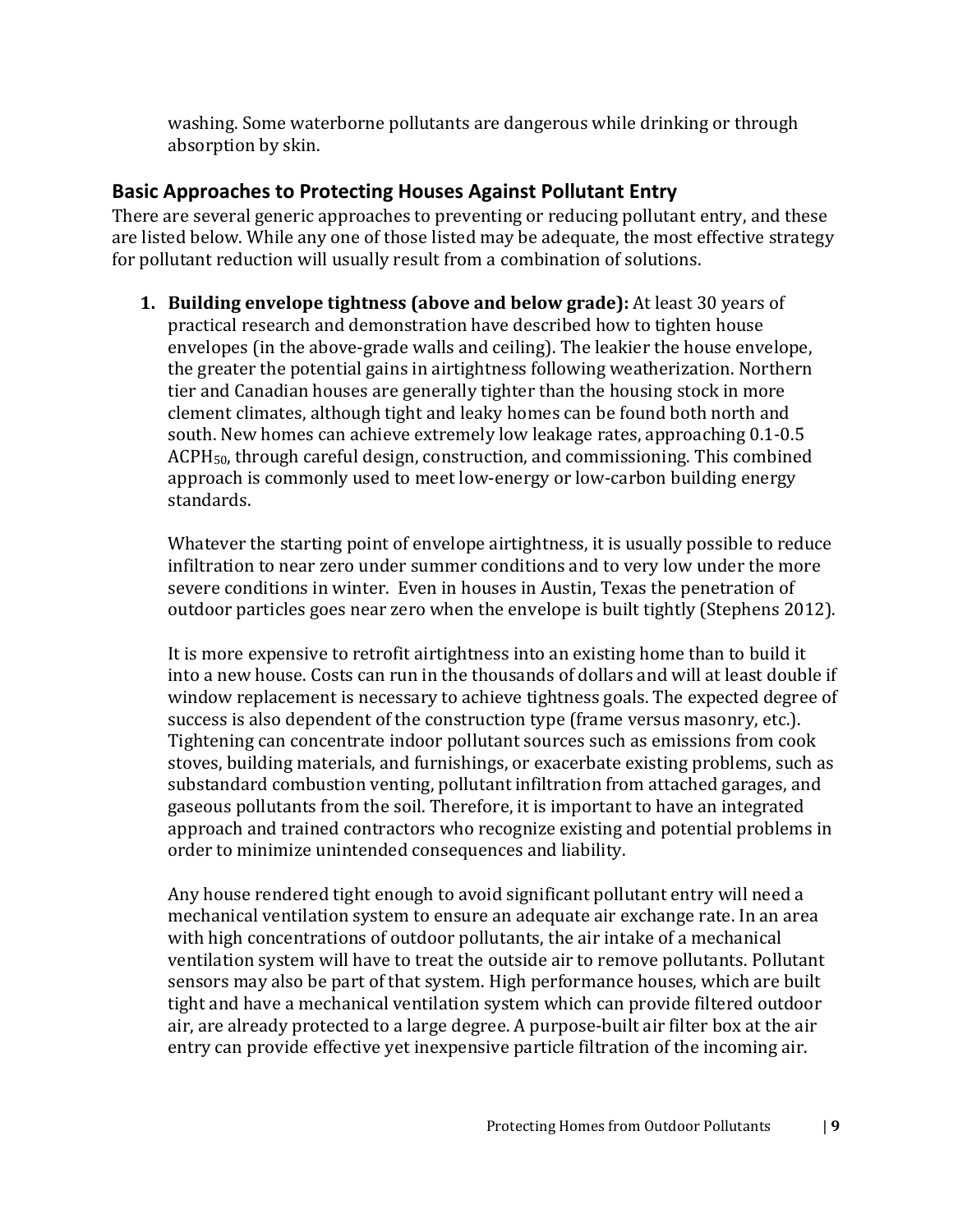washing. Some waterborne pollutants are dangerous while drinking or through absorption by skin.

# <span id="page-11-0"></span>**Basic Approaches to Protecting Houses Against Pollutant Entry**

There are several generic approaches to preventing or reducing pollutant entry, and these are listed below. While any one of those listed may be adequate, the most effective strategy for pollutant reduction will usually result from a combination of solutions.

**1. Building envelope tightness (above and below grade):** At least 30 years of practical research and demonstration have described how to tighten house envelopes (in the above-grade walls and ceiling). The leakier the house envelope, the greater the potential gains in airtightness following weatherization. Northern tier and Canadian houses are generally tighter than the housing stock in more clement climates, although tight and leaky homes can be found both north and south. New homes can achieve extremely low leakage rates, approaching 0.1-0.5 ACPH50, through careful design, construction, and commissioning. This combined approach is commonly used to meet low-energy or low-carbon building energy standards.

Whatever the starting point of envelope airtightness, it is usually possible to reduce infiltration to near zero under summer conditions and to very low under the more severe conditions in winter. Even in houses in Austin, Texas the penetration of outdoor particles goes near zero when the envelope is built tightly (Stephens 2012).

It is more expensive to retrofit airtightness into an existing home than to build it into a new house. Costs can run in the thousands of dollars and will at least double if window replacement is necessary to achieve tightness goals. The expected degree of success is also dependent of the construction type (frame versus masonry, etc.). Tightening can concentrate indoor pollutant sources such as emissions from cook stoves, building materials, and furnishings, or exacerbate existing problems, such as substandard combustion venting, pollutant infiltration from attached garages, and gaseous pollutants from the soil. Therefore, it is important to have an integrated approach and trained contractors who recognize existing and potential problems in order to minimize unintended consequences and liability.

Any house rendered tight enough to avoid significant pollutant entry will need a mechanical ventilation system to ensure an adequate air exchange rate. In an area with high concentrations of outdoor pollutants, the air intake of a mechanical ventilation system will have to treat the outside air to remove pollutants. Pollutant sensors may also be part of that system. High performance houses, which are built tight and have a mechanical ventilation system which can provide filtered outdoor air, are already protected to a large degree. A purpose-built air filter box at the air entry can provide effective yet inexpensive particle filtration of the incoming air.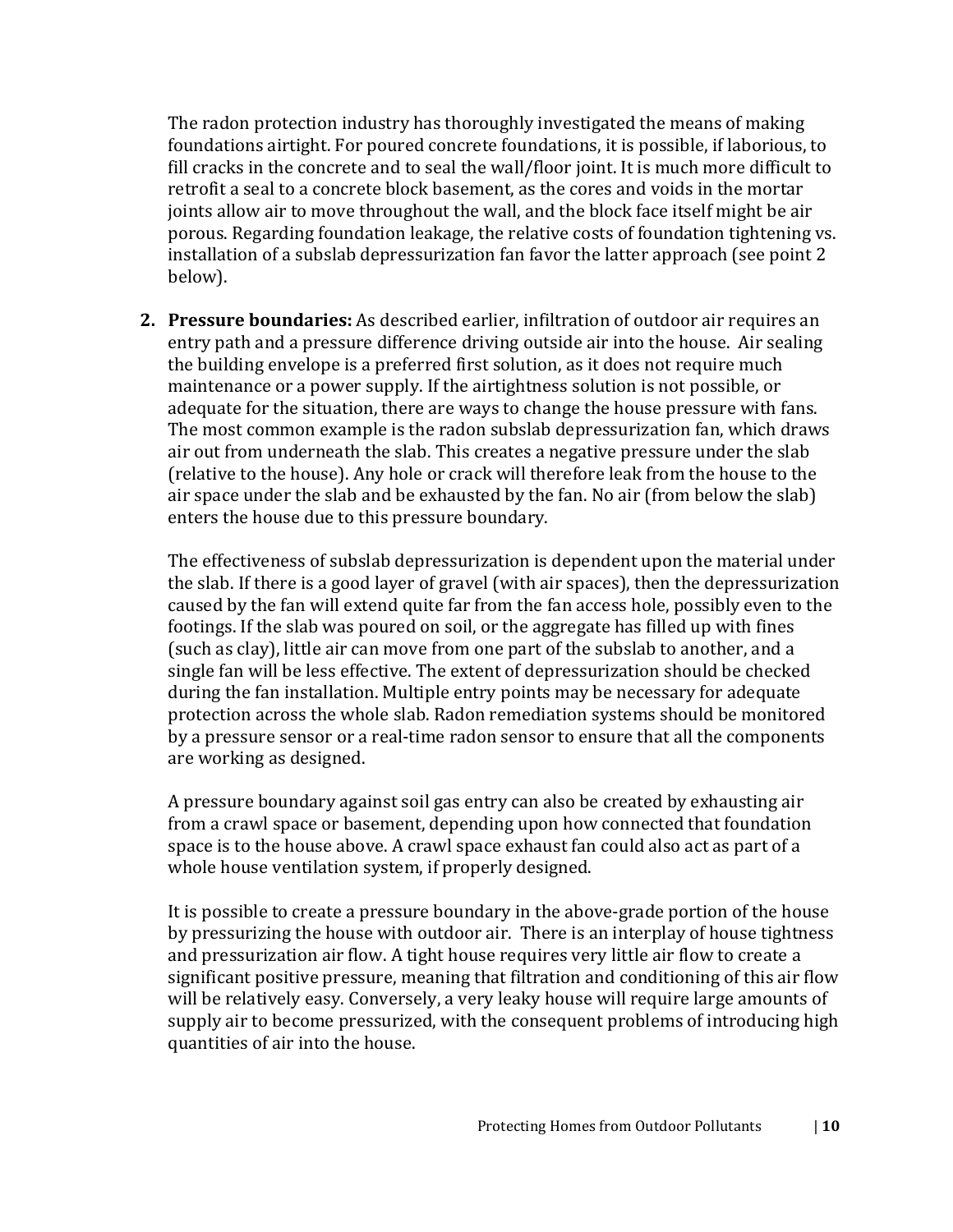The radon protection industry has thoroughly investigated the means of making foundations airtight. For poured concrete foundations, it is possible, if laborious, to fill cracks in the concrete and to seal the wall/floor joint. It is much more difficult to retrofit a seal to a concrete block basement, as the cores and voids in the mortar joints allow air to move throughout the wall, and the block face itself might be air porous. Regarding foundation leakage, the relative costs of foundation tightening vs. installation of a subslab depressurization fan favor the latter approach (see point 2 below).

**2. Pressure boundaries:** As described earlier, infiltration of outdoor air requires an entry path and a pressure difference driving outside air into the house. Air sealing the building envelope is a preferred first solution, as it does not require much maintenance or a power supply. If the airtightness solution is not possible, or adequate for the situation, there are ways to change the house pressure with fans. The most common example is the radon subslab depressurization fan, which draws air out from underneath the slab. This creates a negative pressure under the slab (relative to the house). Any hole or crack will therefore leak from the house to the air space under the slab and be exhausted by the fan. No air (from below the slab) enters the house due to this pressure boundary.

The effectiveness of subslab depressurization is dependent upon the material under the slab. If there is a good layer of gravel (with air spaces), then the depressurization caused by the fan will extend quite far from the fan access hole, possibly even to the footings. If the slab was poured on soil, or the aggregate has filled up with fines (such as clay), little air can move from one part of the subslab to another, and a single fan will be less effective. The extent of depressurization should be checked during the fan installation. Multiple entry points may be necessary for adequate protection across the whole slab. Radon remediation systems should be monitored by a pressure sensor or a real-time radon sensor to ensure that all the components are working as designed.

A pressure boundary against soil gas entry can also be created by exhausting air from a crawl space or basement, depending upon how connected that foundation space is to the house above. A crawl space exhaust fan could also act as part of a whole house ventilation system, if properly designed.

It is possible to create a pressure boundary in the above-grade portion of the house by pressurizing the house with outdoor air. There is an interplay of house tightness and pressurization air flow. A tight house requires very little air flow to create a significant positive pressure, meaning that filtration and conditioning of this air flow will be relatively easy. Conversely, a very leaky house will require large amounts of supply air to become pressurized, with the consequent problems of introducing high quantities of air into the house.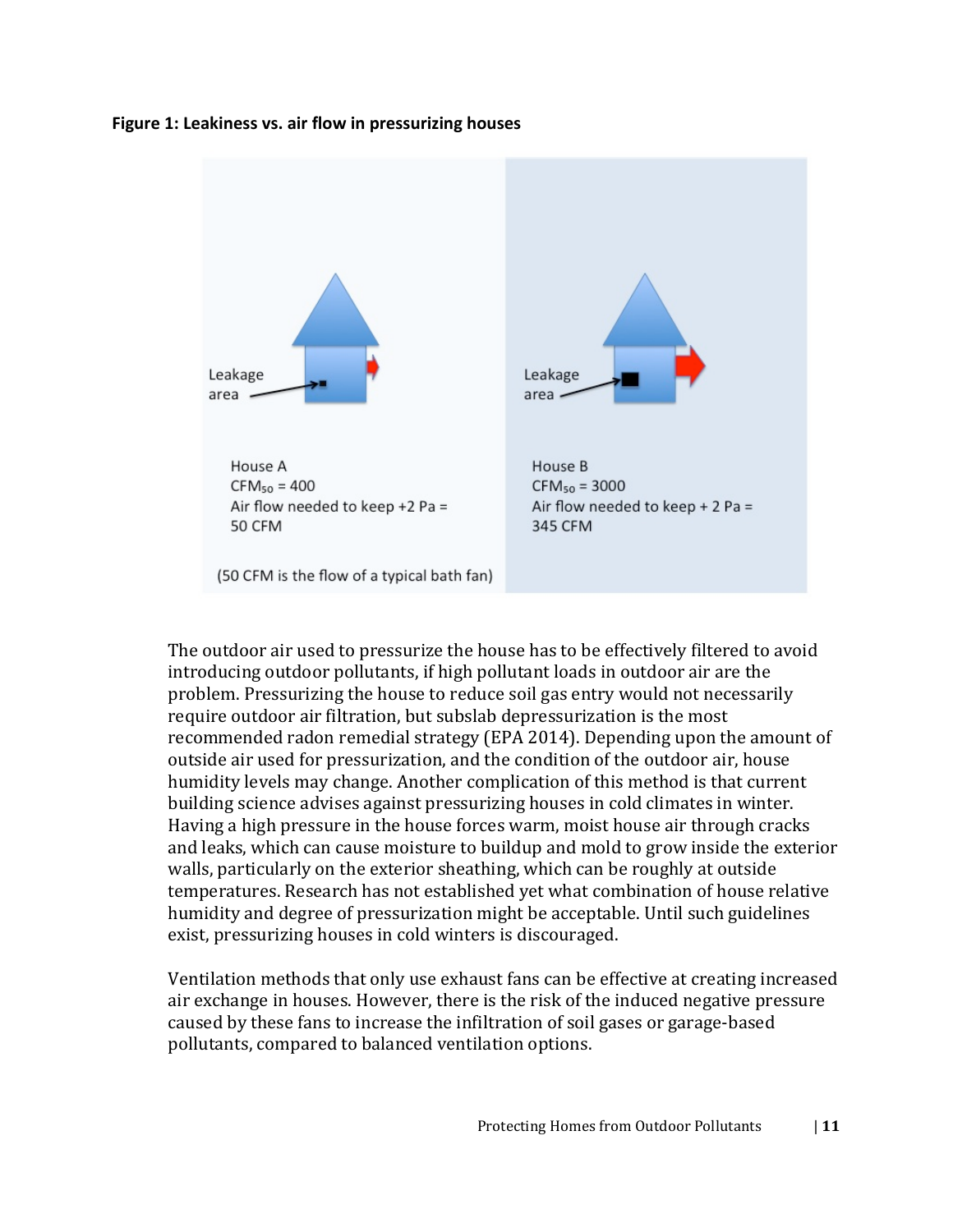#### **Figure 1: Leakiness vs. air flow in pressurizing houses**



The outdoor air used to pressurize the house has to be effectively filtered to avoid introducing outdoor pollutants, if high pollutant loads in outdoor air are the problem. Pressurizing the house to reduce soil gas entry would not necessarily require outdoor air filtration, but subslab depressurization is the most recommended radon remedial strategy (EPA 2014). Depending upon the amount of outside air used for pressurization, and the condition of the outdoor air, house humidity levels may change. Another complication of this method is that current building science advises against pressurizing houses in cold climates in winter. Having a high pressure in the house forces warm, moist house air through cracks and leaks, which can cause moisture to buildup and mold to grow inside the exterior walls, particularly on the exterior sheathing, which can be roughly at outside temperatures. Research has not established yet what combination of house relative humidity and degree of pressurization might be acceptable. Until such guidelines exist, pressurizing houses in cold winters is discouraged.

Ventilation methods that only use exhaust fans can be effective at creating increased air exchange in houses. However, there is the risk of the induced negative pressure caused by these fans to increase the infiltration of soil gases or garage-based pollutants, compared to balanced ventilation options.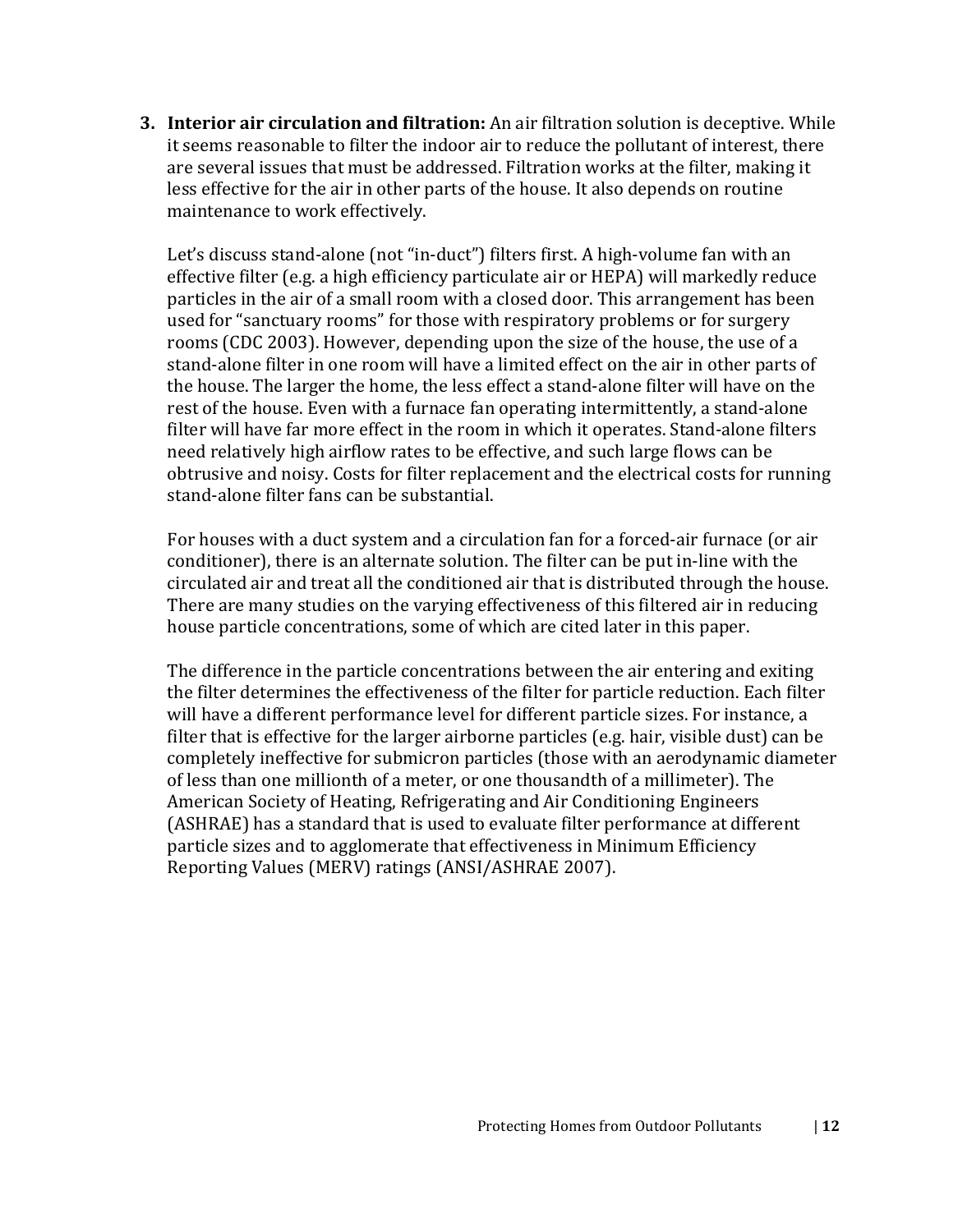**3. Interior air circulation and filtration:** An air filtration solution is deceptive. While it seems reasonable to filter the indoor air to reduce the pollutant of interest, there are several issues that must be addressed. Filtration works at the filter, making it less effective for the air in other parts of the house. It also depends on routine maintenance to work effectively.

Let's discuss stand-alone (not "in-duct") filters first. A high-volume fan with an effective filter (e.g. a high efficiency particulate air or HEPA) will markedly reduce particles in the air of a small room with a closed door. This arrangement has been used for "sanctuary rooms" for those with respiratory problems or for surgery rooms (CDC 2003). However, depending upon the size of the house, the use of a stand-alone filter in one room will have a limited effect on the air in other parts of the house. The larger the home, the less effect a stand-alone filter will have on the rest of the house. Even with a furnace fan operating intermittently, a stand-alone filter will have far more effect in the room in which it operates. Stand-alone filters need relatively high airflow rates to be effective, and such large flows can be obtrusive and noisy. Costs for filter replacement and the electrical costs for running stand-alone filter fans can be substantial.

For houses with a duct system and a circulation fan for a forced-air furnace (or air conditioner), there is an alternate solution. The filter can be put in-line with the circulated air and treat all the conditioned air that is distributed through the house. There are many studies on the varying effectiveness of this filtered air in reducing house particle concentrations, some of which are cited later in this paper.

The difference in the particle concentrations between the air entering and exiting the filter determines the effectiveness of the filter for particle reduction. Each filter will have a different performance level for different particle sizes. For instance, a filter that is effective for the larger airborne particles (e.g. hair, visible dust) can be completely ineffective for submicron particles (those with an aerodynamic diameter of less than one millionth of a meter, or one thousandth of a millimeter). The American Society of Heating, Refrigerating and Air Conditioning Engineers (ASHRAE) has a standard that is used to evaluate filter performance at different particle sizes and to agglomerate that effectiveness in Minimum Efficiency Reporting Values (MERV) ratings (ANSI/ASHRAE 2007).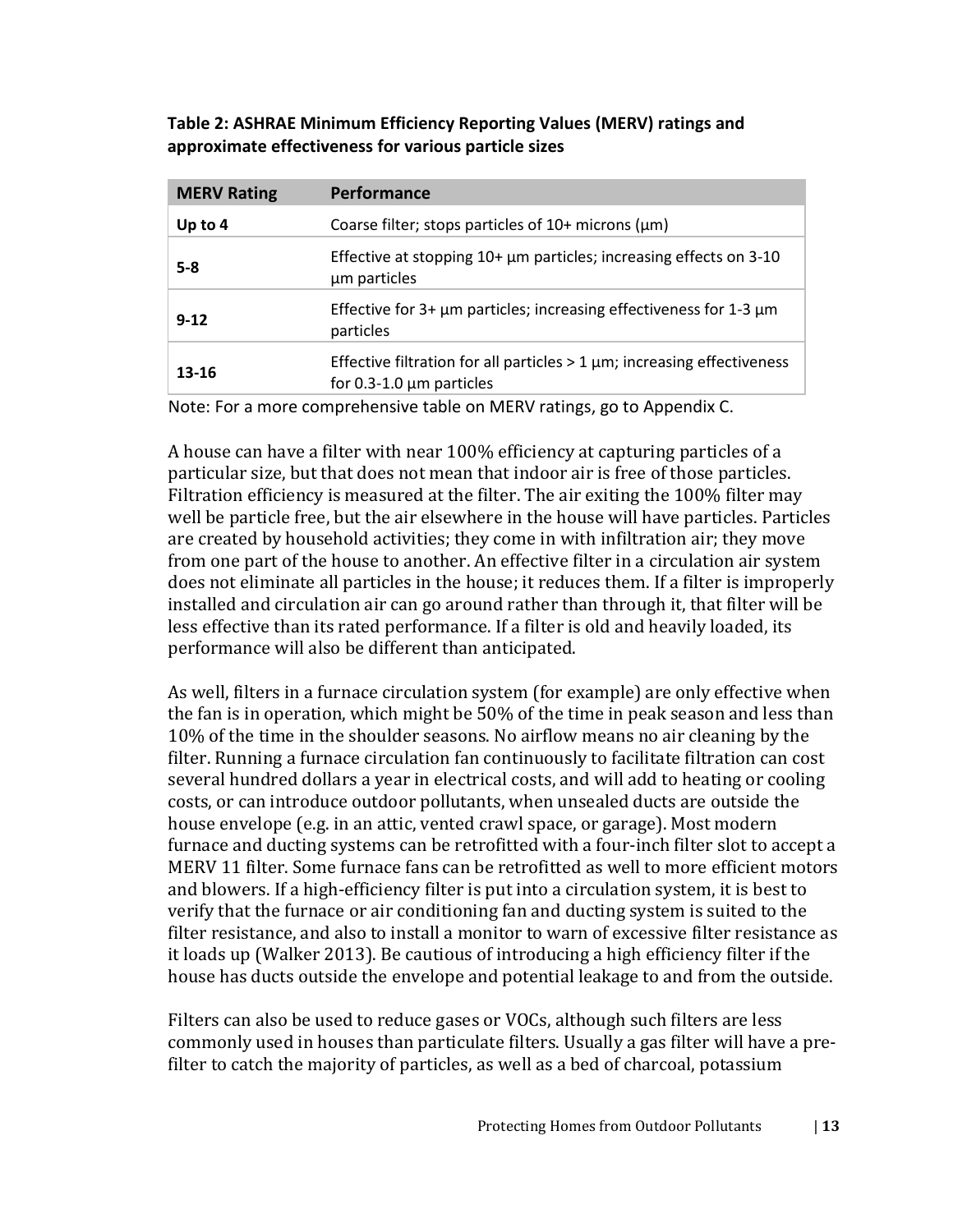| Table 2: ASHRAE Minimum Efficiency Reporting Values (MERV) ratings and |
|------------------------------------------------------------------------|
| approximate effectiveness for various particle sizes                   |

| <b>MERV Rating</b> | <b>Performance</b>                                                                                              |
|--------------------|-----------------------------------------------------------------------------------------------------------------|
| Up to $4$          | Coarse filter; stops particles of $10+$ microns ( $\mu$ m)                                                      |
| $5 - 8$            | Effective at stopping $10+ \mu m$ particles; increasing effects on 3-10<br>um particles                         |
| $9 - 12$           | Effective for $3+ \mu m$ particles; increasing effectiveness for 1-3 $\mu m$<br>particles                       |
| 13-16              | Effective filtration for all particles $>$ 1 $\mu$ m; increasing effectiveness<br>for $0.3-1.0 \mu m$ particles |

Note: For a more comprehensive table on MERV ratings, go to Appendix C.

A house can have a filter with near 100% efficiency at capturing particles of a particular size, but that does not mean that indoor air is free of those particles. Filtration efficiency is measured at the filter. The air exiting the 100% filter may well be particle free, but the air elsewhere in the house will have particles. Particles are created by household activities; they come in with infiltration air; they move from one part of the house to another. An effective filter in a circulation air system does not eliminate all particles in the house; it reduces them. If a filter is improperly installed and circulation air can go around rather than through it, that filter will be less effective than its rated performance. If a filter is old and heavily loaded, its performance will also be different than anticipated.

As well, filters in a furnace circulation system (for example) are only effective when the fan is in operation, which might be 50% of the time in peak season and less than 10% of the time in the shoulder seasons. No airflow means no air cleaning by the filter. Running a furnace circulation fan continuously to facilitate filtration can cost several hundred dollars a year in electrical costs, and will add to heating or cooling costs, or can introduce outdoor pollutants, when unsealed ducts are outside the house envelope (e.g. in an attic, vented crawl space, or garage). Most modern furnace and ducting systems can be retrofitted with a four-inch filter slot to accept a MERV 11 filter. Some furnace fans can be retrofitted as well to more efficient motors and blowers. If a high-efficiency filter is put into a circulation system, it is best to verify that the furnace or air conditioning fan and ducting system is suited to the filter resistance, and also to install a monitor to warn of excessive filter resistance as it loads up (Walker 2013). Be cautious of introducing a high efficiency filter if the house has ducts outside the envelope and potential leakage to and from the outside.

Filters can also be used to reduce gases or VOCs, although such filters are less commonly used in houses than particulate filters. Usually a gas filter will have a prefilter to catch the majority of particles, as well as a bed of charcoal, potassium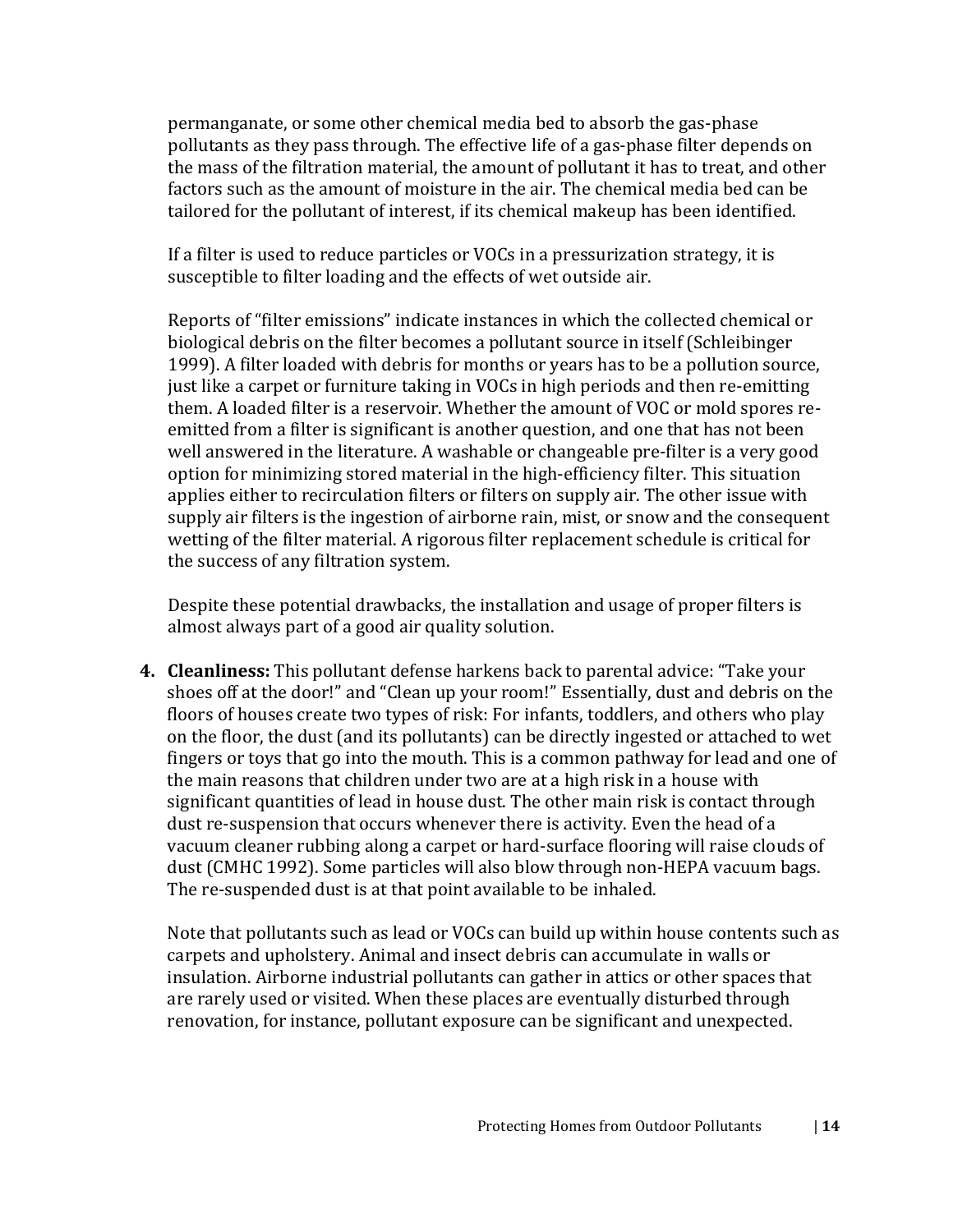permanganate, or some other chemical media bed to absorb the gas-phase pollutants as they pass through. The effective life of a gas-phase filter depends on the mass of the filtration material, the amount of pollutant it has to treat, and other factors such as the amount of moisture in the air. The chemical media bed can be tailored for the pollutant of interest, if its chemical makeup has been identified.

If a filter is used to reduce particles or VOCs in a pressurization strategy, it is susceptible to filter loading and the effects of wet outside air.

Reports of "filter emissions" indicate instances in which the collected chemical or biological debris on the filter becomes a pollutant source in itself (Schleibinger 1999). A filter loaded with debris for months or years has to be a pollution source, just like a carpet or furniture taking in VOCs in high periods and then re-emitting them. A loaded filter is a reservoir. Whether the amount of VOC or mold spores reemitted from a filter is significant is another question, and one that has not been well answered in the literature. A washable or changeable pre-filter is a very good option for minimizing stored material in the high-efficiency filter. This situation applies either to recirculation filters or filters on supply air. The other issue with supply air filters is the ingestion of airborne rain, mist, or snow and the consequent wetting of the filter material. A rigorous filter replacement schedule is critical for the success of any filtration system.

Despite these potential drawbacks, the installation and usage of proper filters is almost always part of a good air quality solution.

**4. Cleanliness:** This pollutant defense harkens back to parental advice: "Take your shoes off at the door!" and "Clean up your room!" Essentially, dust and debris on the floors of houses create two types of risk: For infants, toddlers, and others who play on the floor, the dust (and its pollutants) can be directly ingested or attached to wet fingers or toys that go into the mouth. This is a common pathway for lead and one of the main reasons that children under two are at a high risk in a house with significant quantities of lead in house dust. The other main risk is contact through dust re-suspension that occurs whenever there is activity. Even the head of a vacuum cleaner rubbing along a carpet or hard-surface flooring will raise clouds of dust (CMHC 1992). Some particles will also blow through non-HEPA vacuum bags. The re-suspended dust is at that point available to be inhaled.

Note that pollutants such as lead or VOCs can build up within house contents such as carpets and upholstery. Animal and insect debris can accumulate in walls or insulation. Airborne industrial pollutants can gather in attics or other spaces that are rarely used or visited. When these places are eventually disturbed through renovation, for instance, pollutant exposure can be significant and unexpected.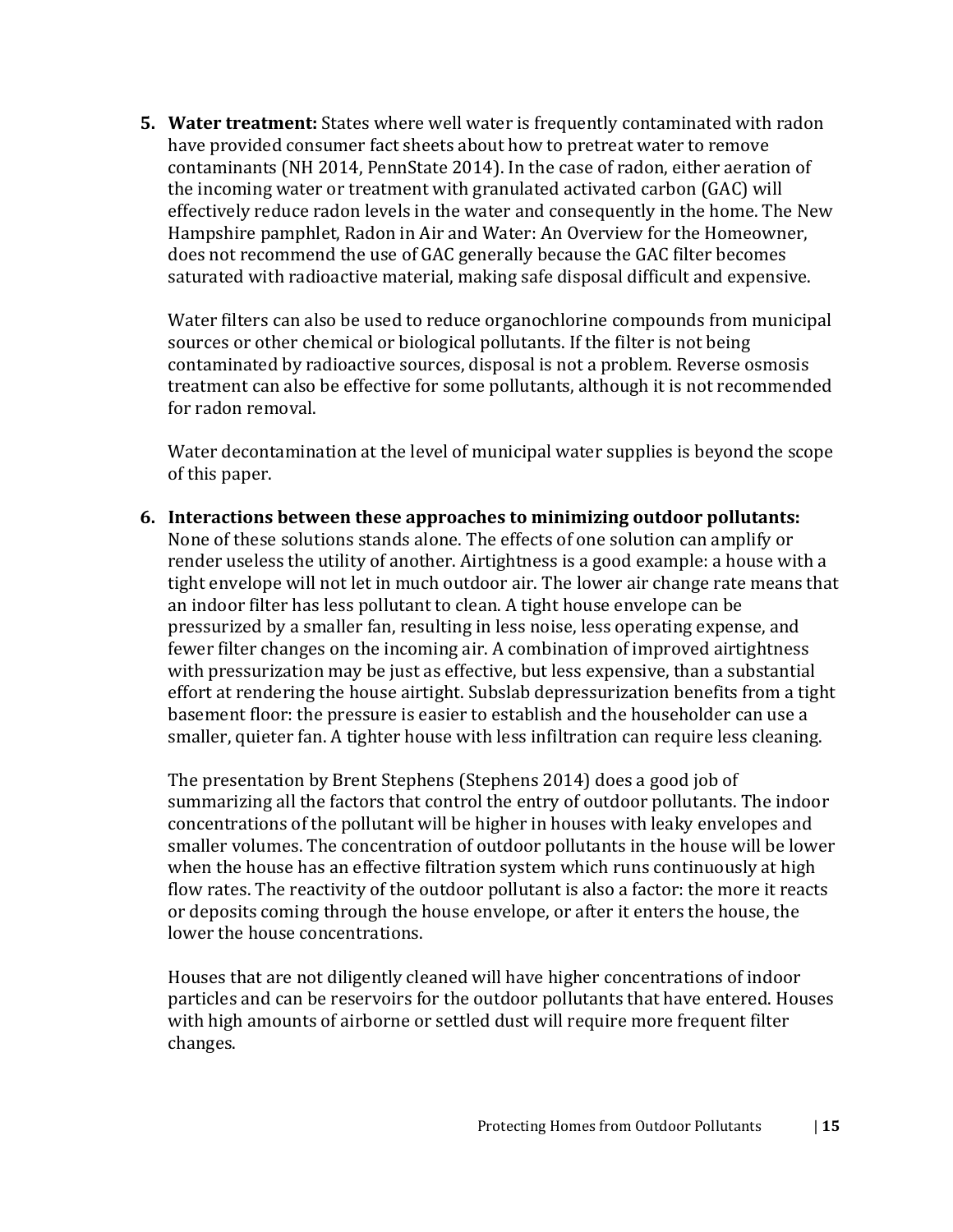**5. Water treatment:** States where well water is frequently contaminated with radon have provided consumer fact sheets about how to pretreat water to remove contaminants (NH 2014, PennState 2014). In the case of radon, either aeration of the incoming water or treatment with granulated activated carbon (GAC) will effectively reduce radon levels in the water and consequently in the home. The New Hampshire pamphlet, Radon in Air and Water: An Overview for the Homeowner, does not recommend the use of GAC generally because the GAC filter becomes saturated with radioactive material, making safe disposal difficult and expensive.

Water filters can also be used to reduce organochlorine compounds from municipal sources or other chemical or biological pollutants. If the filter is not being contaminated by radioactive sources, disposal is not a problem. Reverse osmosis treatment can also be effective for some pollutants, although it is not recommended for radon removal.

Water decontamination at the level of municipal water supplies is beyond the scope of this paper.

**6. Interactions between these approaches to minimizing outdoor pollutants:** None of these solutions stands alone. The effects of one solution can amplify or render useless the utility of another. Airtightness is a good example: a house with a tight envelope will not let in much outdoor air. The lower air change rate means that an indoor filter has less pollutant to clean. A tight house envelope can be pressurized by a smaller fan, resulting in less noise, less operating expense, and fewer filter changes on the incoming air. A combination of improved airtightness with pressurization may be just as effective, but less expensive, than a substantial effort at rendering the house airtight. Subslab depressurization benefits from a tight basement floor: the pressure is easier to establish and the householder can use a smaller, quieter fan. A tighter house with less infiltration can require less cleaning.

The presentation by Brent Stephens (Stephens 2014) does a good job of summarizing all the factors that control the entry of outdoor pollutants. The indoor concentrations of the pollutant will be higher in houses with leaky envelopes and smaller volumes. The concentration of outdoor pollutants in the house will be lower when the house has an effective filtration system which runs continuously at high flow rates. The reactivity of the outdoor pollutant is also a factor: the more it reacts or deposits coming through the house envelope, or after it enters the house, the lower the house concentrations.

Houses that are not diligently cleaned will have higher concentrations of indoor particles and can be reservoirs for the outdoor pollutants that have entered. Houses with high amounts of airborne or settled dust will require more frequent filter changes.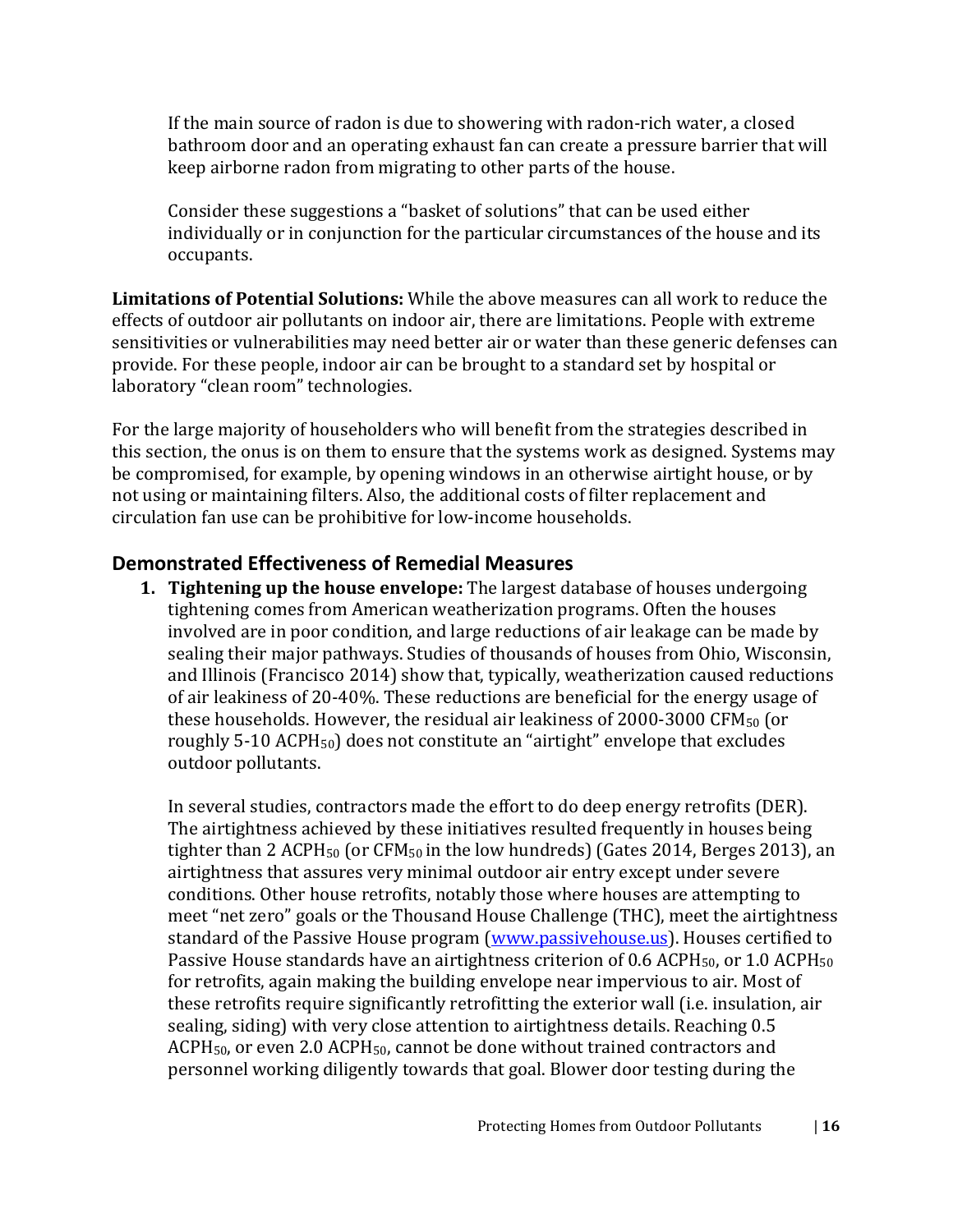If the main source of radon is due to showering with radon-rich water, a closed bathroom door and an operating exhaust fan can create a pressure barrier that will keep airborne radon from migrating to other parts of the house.

Consider these suggestions a "basket of solutions" that can be used either individually or in conjunction for the particular circumstances of the house and its occupants.

**Limitations of Potential Solutions:** While the above measures can all work to reduce the effects of outdoor air pollutants on indoor air, there are limitations. People with extreme sensitivities or vulnerabilities may need better air or water than these generic defenses can provide. For these people, indoor air can be brought to a standard set by hospital or laboratory "clean room" technologies.

For the large majority of householders who will benefit from the strategies described in this section, the onus is on them to ensure that the systems work as designed. Systems may be compromised, for example, by opening windows in an otherwise airtight house, or by not using or maintaining filters. Also, the additional costs of filter replacement and circulation fan use can be prohibitive for low-income households.

#### <span id="page-18-0"></span>**Demonstrated Effectiveness of Remedial Measures**

**1. Tightening up the house envelope:** The largest database of houses undergoing tightening comes from American weatherization programs. Often the houses involved are in poor condition, and large reductions of air leakage can be made by sealing their major pathways. Studies of thousands of houses from Ohio, Wisconsin, and Illinois (Francisco 2014) show that, typically, weatherization caused reductions of air leakiness of 20-40%. These reductions are beneficial for the energy usage of these households. However, the residual air leakiness of 2000-3000 CFM $_{50}$  (or roughly 5-10 ACPH<sub>50</sub>) does not constitute an "airtight" envelope that excludes outdoor pollutants.

In several studies, contractors made the effort to do deep energy retrofits (DER). The airtightness achieved by these initiatives resulted frequently in houses being tighter than 2 ACPH<sub>50</sub> (or  $CFM_{50}$  in the low hundreds) (Gates 2014, Berges 2013), an airtightness that assures very minimal outdoor air entry except under severe conditions. Other house retrofits, notably those where houses are attempting to meet "net zero" goals or the Thousand House Challenge (THC), meet the airtightness standard of the Passive House program [\(www.passivehouse.us\)](http://www.passivehouse.us/). Houses certified to Passive House standards have an airtightness criterion of 0.6 ACPH<sub>50</sub>, or 1.0 ACPH<sub>50</sub> for retrofits, again making the building envelope near impervious to air. Most of these retrofits require significantly retrofitting the exterior wall (i.e. insulation, air sealing, siding) with very close attention to airtightness details. Reaching 0.5  $ACPH<sub>50</sub>$ , or even 2.0  $ACPH<sub>50</sub>$ , cannot be done without trained contractors and personnel working diligently towards that goal. Blower door testing during the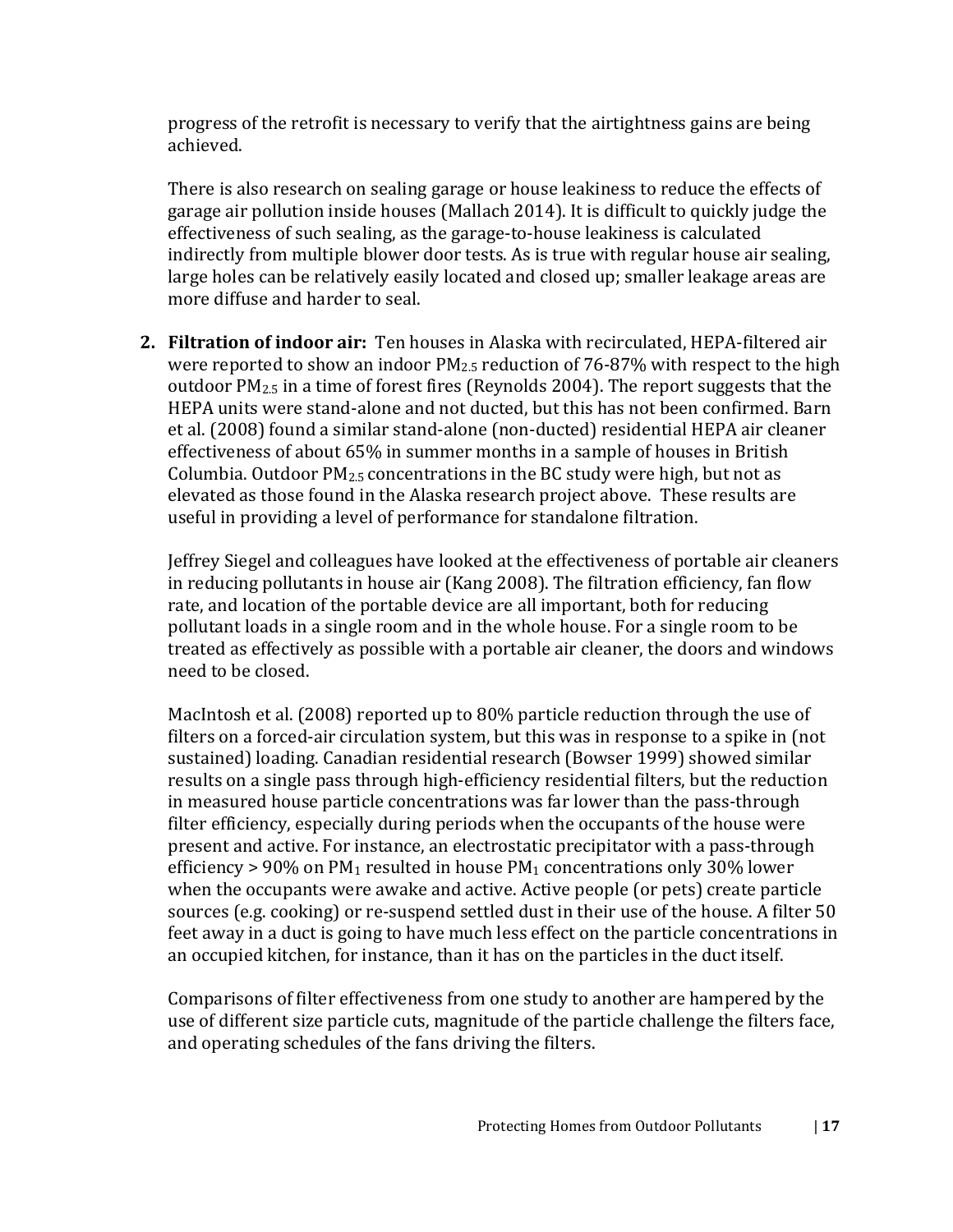progress of the retrofit is necessary to verify that the airtightness gains are being achieved.

There is also research on sealing garage or house leakiness to reduce the effects of garage air pollution inside houses (Mallach 2014). It is difficult to quickly judge the effectiveness of such sealing, as the garage-to-house leakiness is calculated indirectly from multiple blower door tests. As is true with regular house air sealing, large holes can be relatively easily located and closed up; smaller leakage areas are more diffuse and harder to seal.

**2. Filtration of indoor air:** Ten houses in Alaska with recirculated, HEPA-filtered air were reported to show an indoor  $PM_{2.5}$  reduction of 76-87% with respect to the high outdoor PM2.5 in a time of forest fires (Reynolds 2004). The report suggests that the HEPA units were stand-alone and not ducted, but this has not been confirmed. Barn et al. (2008) found a similar stand-alone (non-ducted) residential HEPA air cleaner effectiveness of about 65% in summer months in a sample of houses in British Columbia. Outdoor  $PM_{2.5}$  concentrations in the BC study were high, but not as elevated as those found in the Alaska research project above. These results are useful in providing a level of performance for standalone filtration.

Jeffrey Siegel and colleagues have looked at the effectiveness of portable air cleaners in reducing pollutants in house air (Kang 2008). The filtration efficiency, fan flow rate, and location of the portable device are all important, both for reducing pollutant loads in a single room and in the whole house. For a single room to be treated as effectively as possible with a portable air cleaner, the doors and windows need to be closed.

MacIntosh et al. (2008) reported up to 80% particle reduction through the use of filters on a forced-air circulation system, but this was in response to a spike in (not sustained) loading. Canadian residential research (Bowser 1999) showed similar results on a single pass through high-efficiency residential filters, but the reduction in measured house particle concentrations was far lower than the pass-through filter efficiency, especially during periods when the occupants of the house were present and active. For instance, an electrostatic precipitator with a pass-through efficiency > 90% on PM<sub>1</sub> resulted in house PM<sub>1</sub> concentrations only 30% lower when the occupants were awake and active. Active people (or pets) create particle sources (e.g. cooking) or re-suspend settled dust in their use of the house. A filter 50 feet away in a duct is going to have much less effect on the particle concentrations in an occupied kitchen, for instance, than it has on the particles in the duct itself.

Comparisons of filter effectiveness from one study to another are hampered by the use of different size particle cuts, magnitude of the particle challenge the filters face, and operating schedules of the fans driving the filters.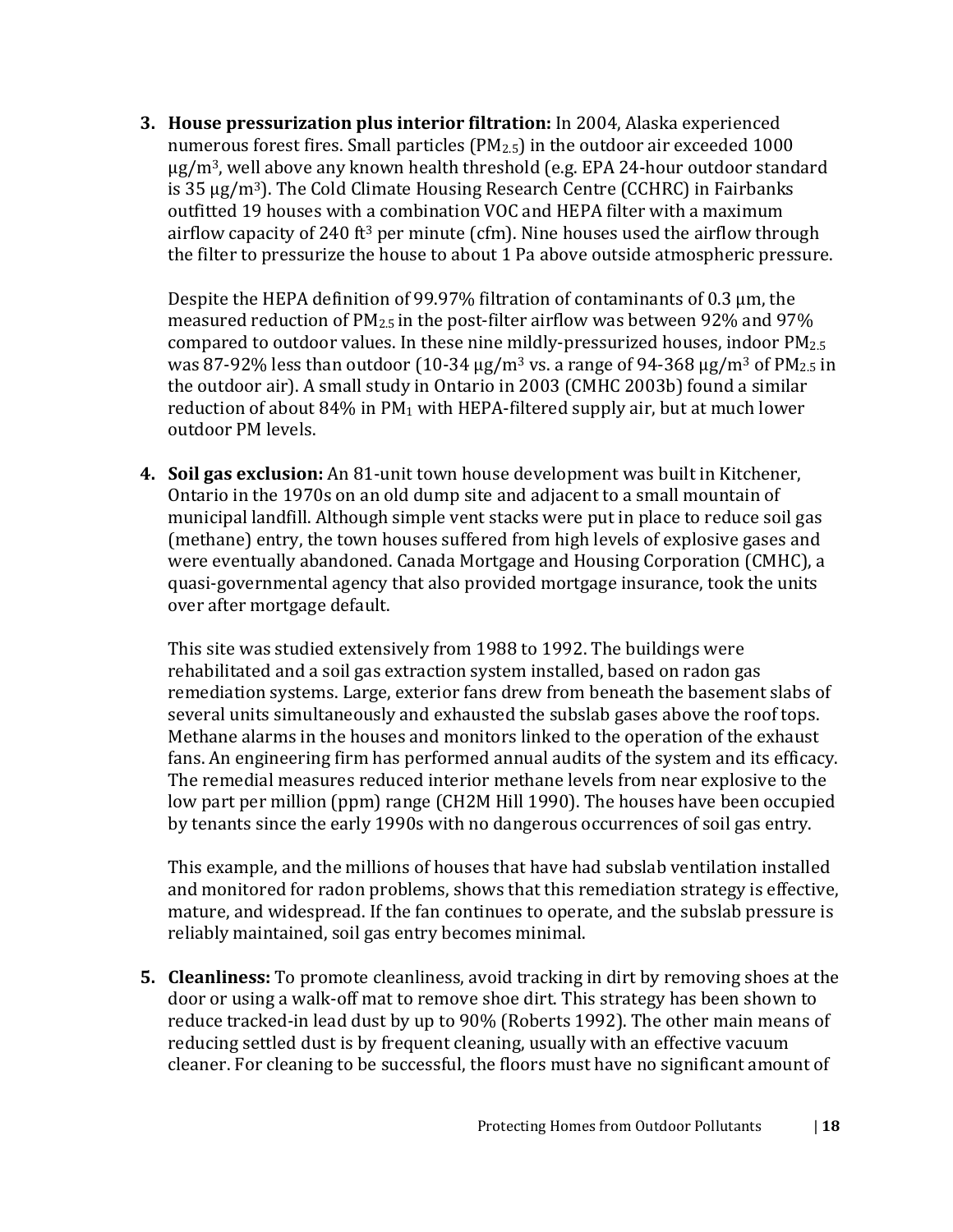**3. House pressurization plus interior filtration:** In 2004, Alaska experienced numerous forest fires. Small particles  $(PM<sub>2.5</sub>)$  in the outdoor air exceeded 1000  $\mu$ g/m<sup>3</sup>, well above any known health threshold (e.g. EPA 24-hour outdoor standard is 35  $\mu$ g/m<sup>3</sup>). The Cold Climate Housing Research Centre (CCHRC) in Fairbanks outfitted 19 houses with a combination VOC and HEPA filter with a maximum airflow capacity of 240 ft<sup>3</sup> per minute (cfm). Nine houses used the airflow through the filter to pressurize the house to about 1 Pa above outside atmospheric pressure.

Despite the HEPA definition of 99.97% filtration of contaminants of 0.3 μm, the measured reduction of  $PM_{2.5}$  in the post-filter airflow was between 92% and 97% compared to outdoor values. In these nine mildly-pressurized houses, indoor  $PM_{2.5}$ was 87-92% less than outdoor (10-34  $\mu$ g/m<sup>3</sup> vs. a range of 94-368  $\mu$ g/m<sup>3</sup> of PM<sub>2.5</sub> in the outdoor air). A small study in Ontario in 2003 (CMHC 2003b) found a similar reduction of about  $84\%$  in PM<sub>1</sub> with HEPA-filtered supply air, but at much lower outdoor PM levels.

**4. Soil gas exclusion:** An 81-unit town house development was built in Kitchener, Ontario in the 1970s on an old dump site and adjacent to a small mountain of municipal landfill. Although simple vent stacks were put in place to reduce soil gas (methane) entry, the town houses suffered from high levels of explosive gases and were eventually abandoned. Canada Mortgage and Housing Corporation (CMHC), a quasi-governmental agency that also provided mortgage insurance, took the units over after mortgage default.

This site was studied extensively from 1988 to 1992. The buildings were rehabilitated and a soil gas extraction system installed, based on radon gas remediation systems. Large, exterior fans drew from beneath the basement slabs of several units simultaneously and exhausted the subslab gases above the roof tops. Methane alarms in the houses and monitors linked to the operation of the exhaust fans. An engineering firm has performed annual audits of the system and its efficacy. The remedial measures reduced interior methane levels from near explosive to the low part per million (ppm) range (CH2M Hill 1990). The houses have been occupied by tenants since the early 1990s with no dangerous occurrences of soil gas entry.

This example, and the millions of houses that have had subslab ventilation installed and monitored for radon problems, shows that this remediation strategy is effective, mature, and widespread. If the fan continues to operate, and the subslab pressure is reliably maintained, soil gas entry becomes minimal.

**5. Cleanliness:** To promote cleanliness, avoid tracking in dirt by removing shoes at the door or using a walk-off mat to remove shoe dirt. This strategy has been shown to reduce tracked-in lead dust by up to 90% (Roberts 1992). The other main means of reducing settled dust is by frequent cleaning, usually with an effective vacuum cleaner. For cleaning to be successful, the floors must have no significant amount of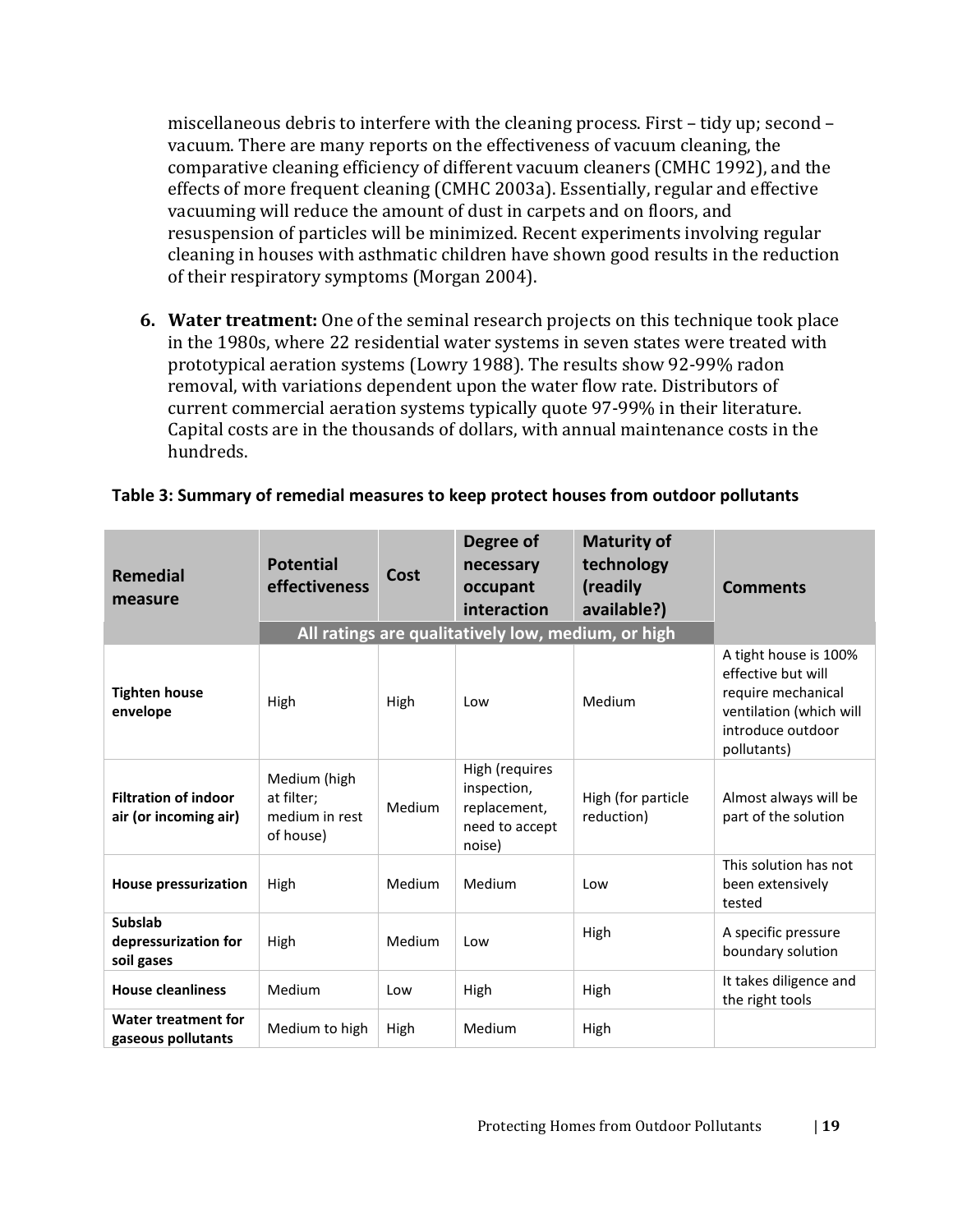miscellaneous debris to interfere with the cleaning process. First – tidy up; second – vacuum. There are many reports on the effectiveness of vacuum cleaning, the comparative cleaning efficiency of different vacuum cleaners (CMHC 1992), and the effects of more frequent cleaning (CMHC 2003a). Essentially, regular and effective vacuuming will reduce the amount of dust in carpets and on floors, and resuspension of particles will be minimized. Recent experiments involving regular cleaning in houses with asthmatic children have shown good results in the reduction of their respiratory symptoms (Morgan 2004).

**6. Water treatment:** One of the seminal research projects on this technique took place in the 1980s, where 22 residential water systems in seven states were treated with prototypical aeration systems (Lowry 1988). The results show 92-99% radon removal, with variations dependent upon the water flow rate. Distributors of current commercial aeration systems typically quote 97-99% in their literature. Capital costs are in the thousands of dollars, with annual maintenance costs in the hundreds.

| <b>Remedial</b><br>measure                           | <b>Potential</b><br>effectiveness                         | Cost   | Degree of<br>necessary<br>occupant<br>interaction<br>All ratings are qualitatively low, medium, or high | <b>Maturity of</b><br>technology<br>(readily<br>available?) | <b>Comments</b>                                                                                                                  |
|------------------------------------------------------|-----------------------------------------------------------|--------|---------------------------------------------------------------------------------------------------------|-------------------------------------------------------------|----------------------------------------------------------------------------------------------------------------------------------|
| <b>Tighten house</b><br>envelope                     | High                                                      | High   | Low                                                                                                     | Medium                                                      | A tight house is 100%<br>effective but will<br>require mechanical<br>ventilation (which will<br>introduce outdoor<br>pollutants) |
| <b>Filtration of indoor</b><br>air (or incoming air) | Medium (high<br>at filter:<br>medium in rest<br>of house) | Medium | High (requires<br>inspection,<br>replacement,<br>need to accept<br>noise)                               | High (for particle<br>reduction)                            | Almost always will be<br>part of the solution                                                                                    |
| <b>House pressurization</b>                          | High                                                      | Medium | Medium                                                                                                  | Low                                                         | This solution has not<br>been extensively<br>tested                                                                              |
| <b>Subslab</b><br>depressurization for<br>soil gases | High                                                      | Medium | Low                                                                                                     | High                                                        | A specific pressure<br>boundary solution                                                                                         |
| <b>House cleanliness</b>                             | Medium                                                    | Low    | High                                                                                                    | High                                                        | It takes diligence and<br>the right tools                                                                                        |
| Water treatment for<br>gaseous pollutants            | Medium to high                                            | High   | Medium                                                                                                  | High                                                        |                                                                                                                                  |

#### **Table 3: Summary of remedial measures to keep protect houses from outdoor pollutants**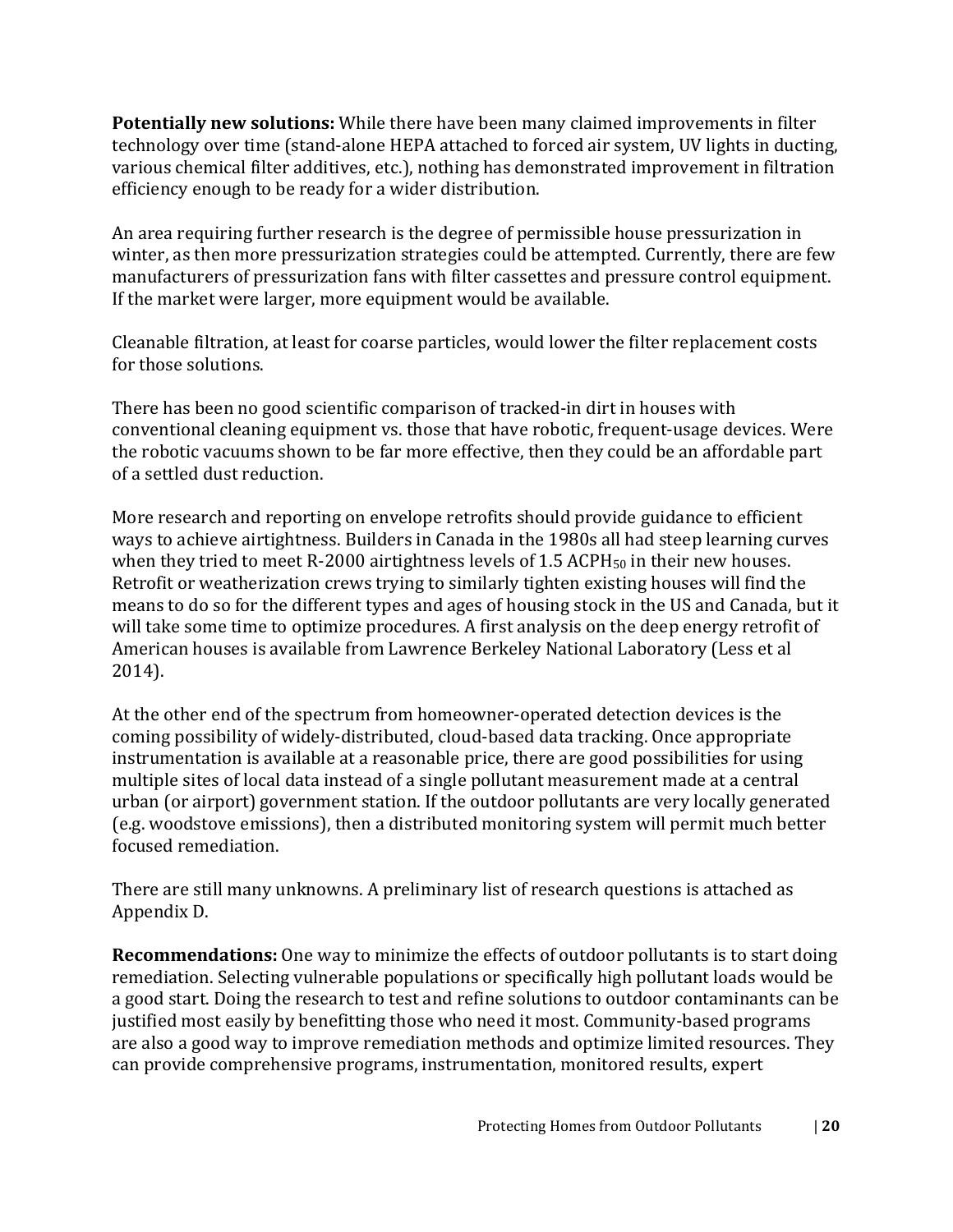**Potentially new solutions:** While there have been many claimed improvements in filter technology over time (stand-alone HEPA attached to forced air system, UV lights in ducting, various chemical filter additives, etc.), nothing has demonstrated improvement in filtration efficiency enough to be ready for a wider distribution.

An area requiring further research is the degree of permissible house pressurization in winter, as then more pressurization strategies could be attempted. Currently, there are few manufacturers of pressurization fans with filter cassettes and pressure control equipment. If the market were larger, more equipment would be available.

Cleanable filtration, at least for coarse particles, would lower the filter replacement costs for those solutions.

There has been no good scientific comparison of tracked-in dirt in houses with conventional cleaning equipment vs. those that have robotic, frequent-usage devices. Were the robotic vacuums shown to be far more effective, then they could be an affordable part of a settled dust reduction.

More research and reporting on envelope retrofits should provide guidance to efficient ways to achieve airtightness. Builders in Canada in the 1980s all had steep learning curves when they tried to meet R-2000 airtightness levels of 1.5 ACPH $_{50}$  in their new houses. Retrofit or weatherization crews trying to similarly tighten existing houses will find the means to do so for the different types and ages of housing stock in the US and Canada, but it will take some time to optimize procedures. A first analysis on the deep energy retrofit of American houses is available from Lawrence Berkeley National Laboratory (Less et al 2014).

At the other end of the spectrum from homeowner-operated detection devices is the coming possibility of widely-distributed, cloud-based data tracking. Once appropriate instrumentation is available at a reasonable price, there are good possibilities for using multiple sites of local data instead of a single pollutant measurement made at a central urban (or airport) government station. If the outdoor pollutants are very locally generated (e.g. woodstove emissions), then a distributed monitoring system will permit much better focused remediation.

There are still many unknowns. A preliminary list of research questions is attached as Appendix D.

**Recommendations:** One way to minimize the effects of outdoor pollutants is to start doing remediation. Selecting vulnerable populations or specifically high pollutant loads would be a good start. Doing the research to test and refine solutions to outdoor contaminants can be justified most easily by benefitting those who need it most. Community-based programs are also a good way to improve remediation methods and optimize limited resources. They can provide comprehensive programs, instrumentation, monitored results, expert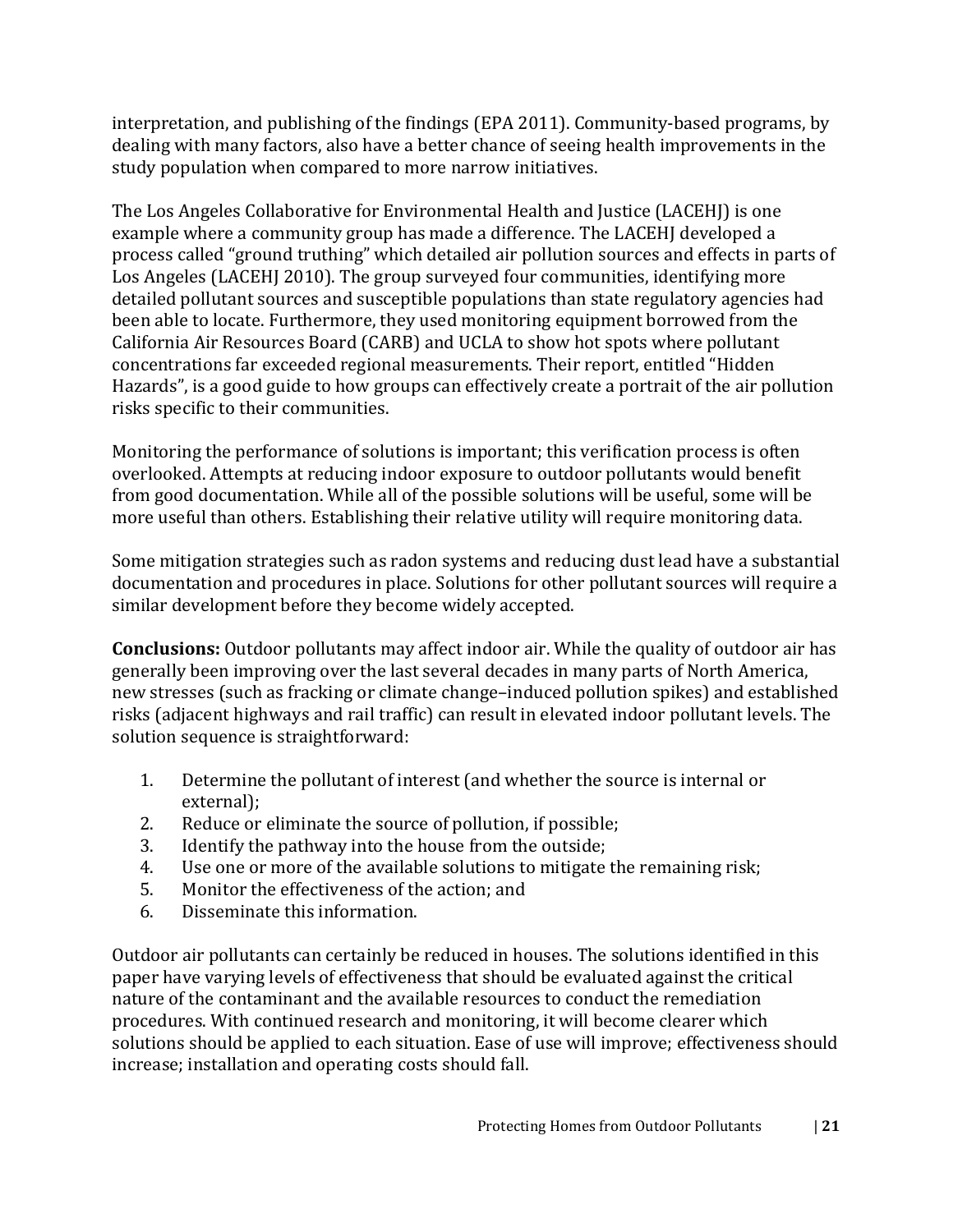interpretation, and publishing of the findings (EPA 2011). Community-based programs, by dealing with many factors, also have a better chance of seeing health improvements in the study population when compared to more narrow initiatives.

The Los Angeles Collaborative for Environmental Health and Justice (LACEHJ) is one example where a community group has made a difference. The LACEHJ developed a process called "ground truthing" which detailed air pollution sources and effects in parts of Los Angeles (LACEHJ 2010). The group surveyed four communities, identifying more detailed pollutant sources and susceptible populations than state regulatory agencies had been able to locate. Furthermore, they used monitoring equipment borrowed from the California Air Resources Board (CARB) and UCLA to show hot spots where pollutant concentrations far exceeded regional measurements. Their report, entitled "Hidden Hazards", is a good guide to how groups can effectively create a portrait of the air pollution risks specific to their communities.

Monitoring the performance of solutions is important; this verification process is often overlooked. Attempts at reducing indoor exposure to outdoor pollutants would benefit from good documentation. While all of the possible solutions will be useful, some will be more useful than others. Establishing their relative utility will require monitoring data.

Some mitigation strategies such as radon systems and reducing dust lead have a substantial documentation and procedures in place. Solutions for other pollutant sources will require a similar development before they become widely accepted.

**Conclusions:** Outdoor pollutants may affect indoor air. While the quality of outdoor air has generally been improving over the last several decades in many parts of North America, new stresses (such as fracking or climate change–induced pollution spikes) and established risks (adjacent highways and rail traffic) can result in elevated indoor pollutant levels. The solution sequence is straightforward:

- 1. Determine the pollutant of interest (and whether the source is internal or external);
- 2. Reduce or eliminate the source of pollution, if possible;<br>3. Identify the pathway into the house from the outside:
- 3. Identify the pathway into the house from the outside;<br>4. Use one or more of the available solutions to mitigate
- 4. Use one or more of the available solutions to mitigate the remaining risk;<br>5. Monitor the effectiveness of the action; and
- 5. Monitor the effectiveness of the action; and<br>6. Disseminate this information.
- Disseminate this information.

Outdoor air pollutants can certainly be reduced in houses. The solutions identified in this paper have varying levels of effectiveness that should be evaluated against the critical nature of the contaminant and the available resources to conduct the remediation procedures. With continued research and monitoring, it will become clearer which solutions should be applied to each situation. Ease of use will improve; effectiveness should increase; installation and operating costs should fall.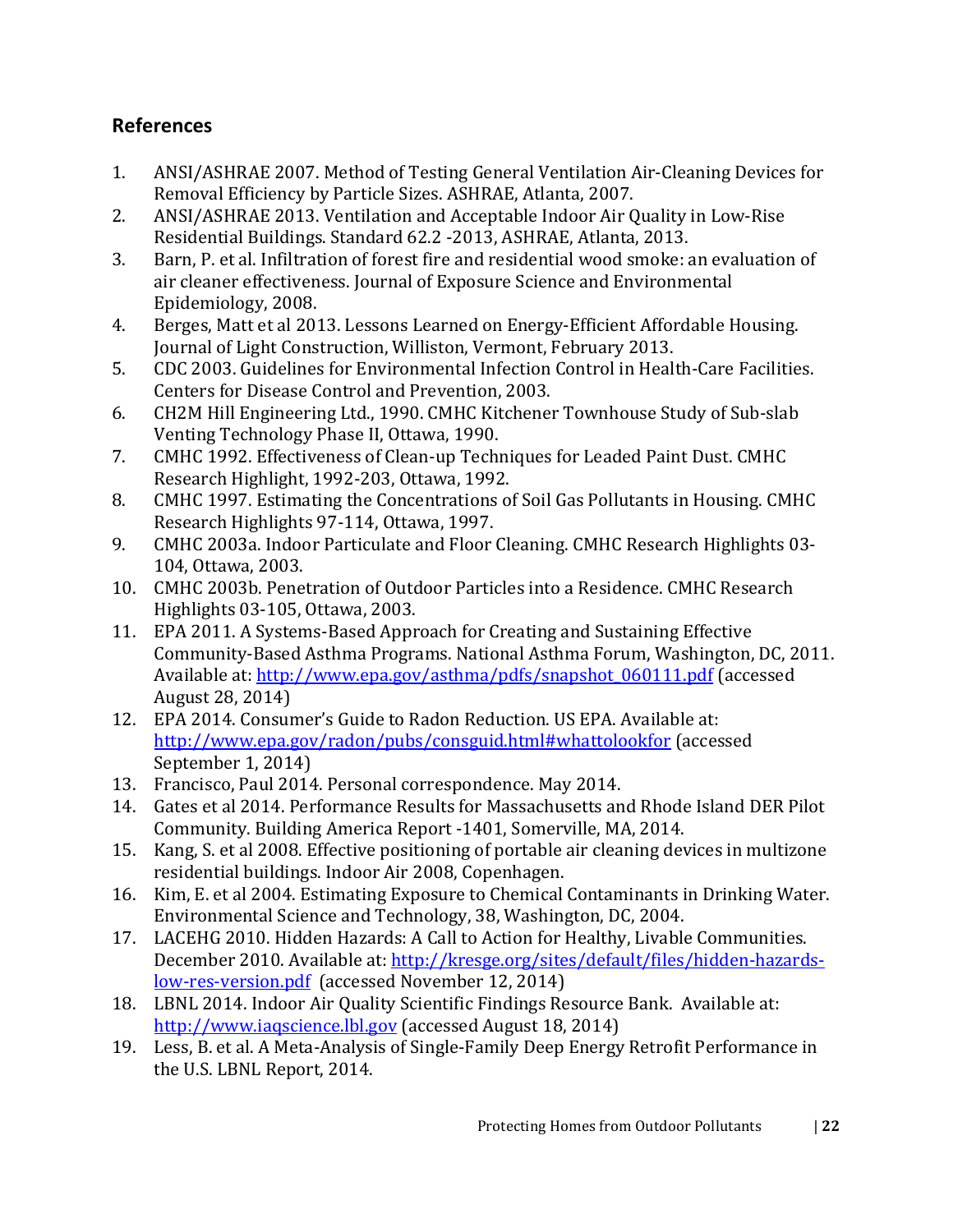# <span id="page-24-0"></span>**References**

- 1. ANSI/ASHRAE 2007. Method of Testing General Ventilation Air-Cleaning Devices for Removal Efficiency by Particle Sizes. ASHRAE, Atlanta, 2007.
- 2. ANSI/ASHRAE 2013. Ventilation and Acceptable Indoor Air Quality in Low-Rise Residential Buildings. Standard 62.2 -2013, ASHRAE, Atlanta, 2013.
- 3. Barn, P. et al. Infiltration of forest fire and residential wood smoke: an evaluation of air cleaner effectiveness. Journal of Exposure Science and Environmental Epidemiology, 2008.
- 4. Berges, Matt et al 2013. Lessons Learned on Energy-Efficient Affordable Housing. Journal of Light Construction, Williston, Vermont, February 2013.
- 5. CDC 2003. Guidelines for Environmental Infection Control in Health-Care Facilities. Centers for Disease Control and Prevention, 2003.
- 6. CH2M Hill Engineering Ltd., 1990. CMHC Kitchener Townhouse Study of Sub-slab Venting Technology Phase II, Ottawa, 1990.
- 7. CMHC 1992. Effectiveness of Clean-up Techniques for Leaded Paint Dust. CMHC Research Highlight, 1992-203, Ottawa, 1992.
- 8. CMHC 1997. Estimating the Concentrations of Soil Gas Pollutants in Housing. CMHC Research Highlights 97-114, Ottawa, 1997.
- 9. CMHC 2003a. Indoor Particulate and Floor Cleaning. CMHC Research Highlights 03- 104, Ottawa, 2003.
- 10. CMHC 2003b. Penetration of Outdoor Particles into a Residence. CMHC Research Highlights 03-105, Ottawa, 2003.
- 11. EPA 2011. A Systems-Based Approach for Creating and Sustaining Effective Community-Based Asthma Programs. National Asthma Forum, Washington, DC, 2011. Available at: [http://www.epa.gov/asthma/pdfs/snapshot\\_060111.pdf](http://www.epa.gov/asthma/pdfs/snapshot_060111.pdf) (accessed August 28, 2014)
- 12. EPA 2014. Consumer's Guide to Radon Reduction. US EPA. Available at: [http://www.epa.gov/radon/pubs/consguid.html#whattolookfor](http://www.epa.gov/radon/pubs/consguid.html%23whattolookfor) (accessed September 1, 2014)
- 13. Francisco, Paul 2014. Personal correspondence. May 2014.
- 14. Gates et al 2014. Performance Results for Massachusetts and Rhode Island DER Pilot Community. Building America Report -1401, Somerville, MA, 2014.
- 15. Kang, S. et al 2008. Effective positioning of portable air cleaning devices in multizone residential buildings. Indoor Air 2008, Copenhagen.
- 16. Kim, E. et al 2004. Estimating Exposure to Chemical Contaminants in Drinking Water. Environmental Science and Technology, 38, Washington, DC, 2004.
- 17. LACEHG 2010. Hidden Hazards: A Call to Action for Healthy, Livable Communities. December 2010. Available at: [http://kresge.org/sites/default/files/hidden-hazards](http://kresge.org/sites/default/files/hidden-hazards-low-res-version.pdf)[low-res-version.pdf](http://kresge.org/sites/default/files/hidden-hazards-low-res-version.pdf) (accessed November 12, 2014)
- 18. LBNL 2014. Indoor Air Quality Scientific Findings Resource Bank. Available at: [http://www.iaqscience.lbl.gov](http://www.iaqscience.lbl.gov/) (accessed August 18, 2014)
- 19. Less, B. et al. A Meta-Analysis of Single-Family Deep Energy Retrofit Performance in the U.S. LBNL Report, 2014.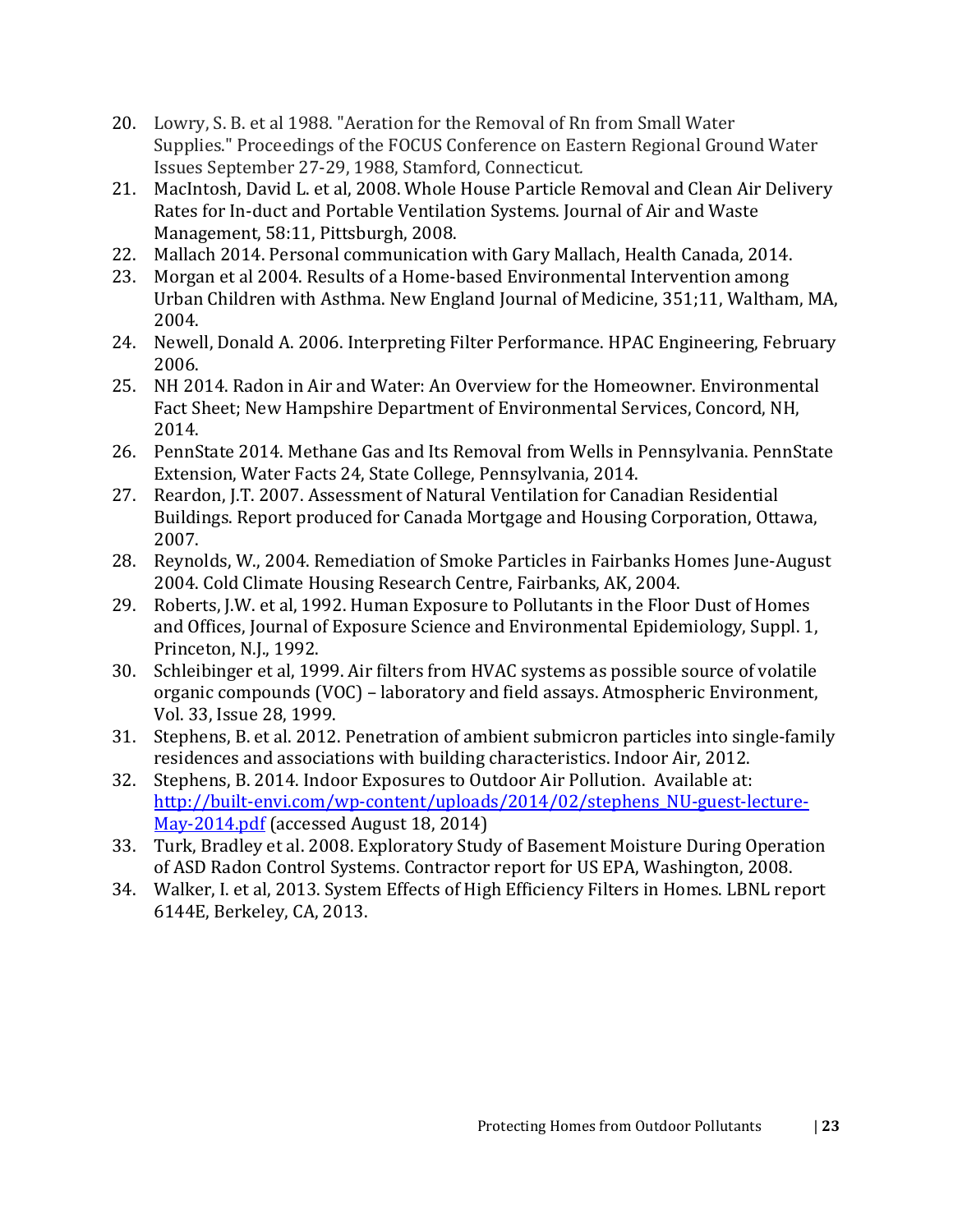- 20. Lowry, S. B. et al 1988. "Aeration for the Removal of Rn from Small Water Supplies." Proceedings of the FOCUS Conference on Eastern Regional Ground Water Issues September 27-29, 1988, Stamford, Connecticut*.*
- 21. MacIntosh, David L. et al, 2008. Whole House Particle Removal and Clean Air Delivery Rates for In-duct and Portable Ventilation Systems. Journal of Air and Waste Management, 58:11, Pittsburgh, 2008.
- 22. Mallach 2014. Personal communication with Gary Mallach, Health Canada, 2014.
- 23. Morgan et al 2004. Results of a Home-based Environmental Intervention among Urban Children with Asthma. New England Journal of Medicine, 351;11, Waltham, MA, 2004.
- 24. Newell, Donald A. 2006. Interpreting Filter Performance. HPAC Engineering, February 2006.
- 25. NH 2014. Radon in Air and Water: An Overview for the Homeowner. Environmental Fact Sheet; New Hampshire Department of Environmental Services, Concord, NH, 2014.
- 26. PennState 2014. Methane Gas and Its Removal from Wells in Pennsylvania. PennState Extension, Water Facts 24, State College, Pennsylvania, 2014.
- 27. Reardon, J.T. 2007. Assessment of Natural Ventilation for Canadian Residential Buildings. Report produced for Canada Mortgage and Housing Corporation, Ottawa, 2007.
- 28. Reynolds, W., 2004. Remediation of Smoke Particles in Fairbanks Homes June-August 2004. Cold Climate Housing Research Centre, Fairbanks, AK, 2004.
- 29. Roberts, J.W. et al, 1992. Human Exposure to Pollutants in the Floor Dust of Homes and Offices, Journal of Exposure Science and Environmental Epidemiology, Suppl. 1, Princeton, N.J., 1992.
- 30. Schleibinger et al, 1999. Air filters from HVAC systems as possible source of volatile organic compounds (VOC) – laboratory and field assays. Atmospheric Environment, Vol. 33, Issue 28, 1999.
- 31. Stephens, B. et al. 2012. Penetration of ambient submicron particles into single-family residences and associations with building characteristics. Indoor Air, 2012.
- 32. Stephens, B. 2014. Indoor Exposures to Outdoor Air Pollution. Available at: [http://built-envi.com/wp-content/uploads/2014/02/stephens\\_NU-guest-lecture-](http://built-envi.com/wp-content/uploads/2014/02/stephens_NU-guest-lecture-May-2014.pdf)[May-2014.pdf](http://built-envi.com/wp-content/uploads/2014/02/stephens_NU-guest-lecture-May-2014.pdf) (accessed August 18, 2014)
- 33. Turk, Bradley et al. 2008. Exploratory Study of Basement Moisture During Operation of ASD Radon Control Systems. Contractor report for US EPA, Washington, 2008.
- 34. Walker, I. et al, 2013. System Effects of High Efficiency Filters in Homes. LBNL report 6144E, Berkeley, CA, 2013.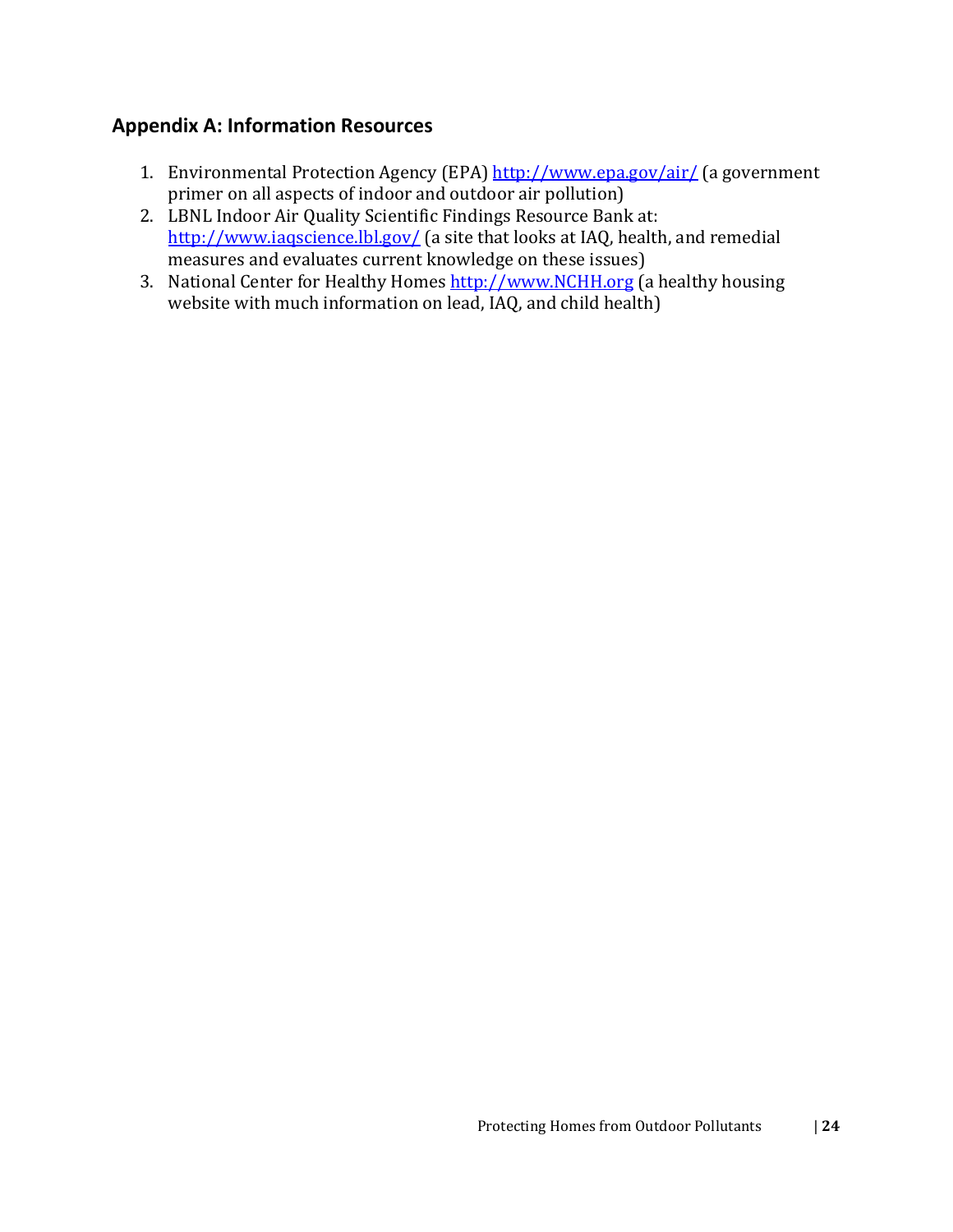# <span id="page-26-0"></span>**Appendix A: Information Resources**

- 1. Environmental Protection Agency (EPA) <http://www.epa.gov/air/> (a government primer on all aspects of indoor and outdoor air pollution)
- 2. LBNL Indoor Air Quality Scientific Findings Resource Bank at: <http://www.iaqscience.lbl.gov/> (a site that looks at IAQ, health, and remedial measures and evaluates current knowledge on these issues)
- 3. National Center for Healthy Homes [http://www.NCHH.org](http://www.nchh.org/) (a healthy housing website with much information on lead, IAQ, and child health)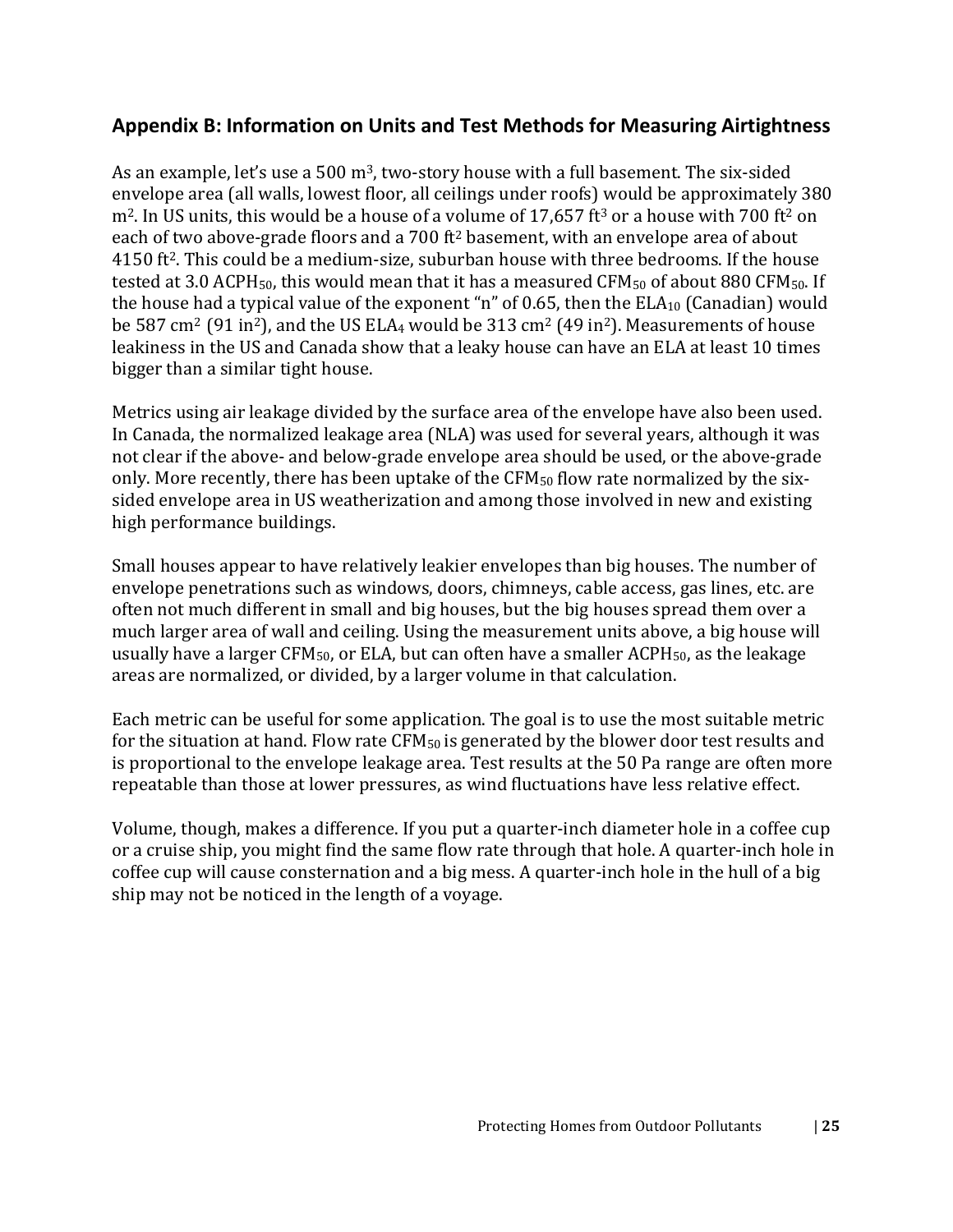# <span id="page-27-0"></span>**Appendix B: Information on Units and Test Methods for Measuring Airtightness**

As an example, let's use a 500 m<sup>3</sup>, two-story house with a full basement. The six-sided envelope area (all walls, lowest floor, all ceilings under roofs) would be approximately 380  $m<sup>2</sup>$ . In US units, this would be a house of a volume of 17,657 ft<sup>3</sup> or a house with 700 ft<sup>2</sup> on each of two above-grade floors and a 700 ft2 basement, with an envelope area of about 4150 ft2. This could be a medium-size, suburban house with three bedrooms. If the house tested at 3.0 ACPH<sub>50</sub>, this would mean that it has a measured CFM<sub>50</sub> of about 880 CFM<sub>50</sub>. If the house had a typical value of the exponent "n" of 0.65, then the  $ELA_{10}$  (Canadian) would be 587 cm<sup>2</sup> (91 in<sup>2</sup>), and the US ELA<sub>4</sub> would be 313 cm<sup>2</sup> (49 in<sup>2</sup>). Measurements of house leakiness in the US and Canada show that a leaky house can have an ELA at least 10 times bigger than a similar tight house.

Metrics using air leakage divided by the surface area of the envelope have also been used. In Canada, the normalized leakage area (NLA) was used for several years, although it was not clear if the above- and below-grade envelope area should be used, or the above-grade only. More recently, there has been uptake of the CFM<sub>50</sub> flow rate normalized by the sixsided envelope area in US weatherization and among those involved in new and existing high performance buildings.

Small houses appear to have relatively leakier envelopes than big houses. The number of envelope penetrations such as windows, doors, chimneys, cable access, gas lines, etc. are often not much different in small and big houses, but the big houses spread them over a much larger area of wall and ceiling. Using the measurement units above, a big house will usually have a larger CFM<sub>50</sub>, or ELA, but can often have a smaller ACPH<sub>50</sub>, as the leakage areas are normalized, or divided, by a larger volume in that calculation.

Each metric can be useful for some application. The goal is to use the most suitable metric for the situation at hand. Flow rate  $CFM_{50}$  is generated by the blower door test results and is proportional to the envelope leakage area. Test results at the 50 Pa range are often more repeatable than those at lower pressures, as wind fluctuations have less relative effect.

Volume, though, makes a difference. If you put a quarter-inch diameter hole in a coffee cup or a cruise ship, you might find the same flow rate through that hole. A quarter-inch hole in coffee cup will cause consternation and a big mess. A quarter-inch hole in the hull of a big ship may not be noticed in the length of a voyage.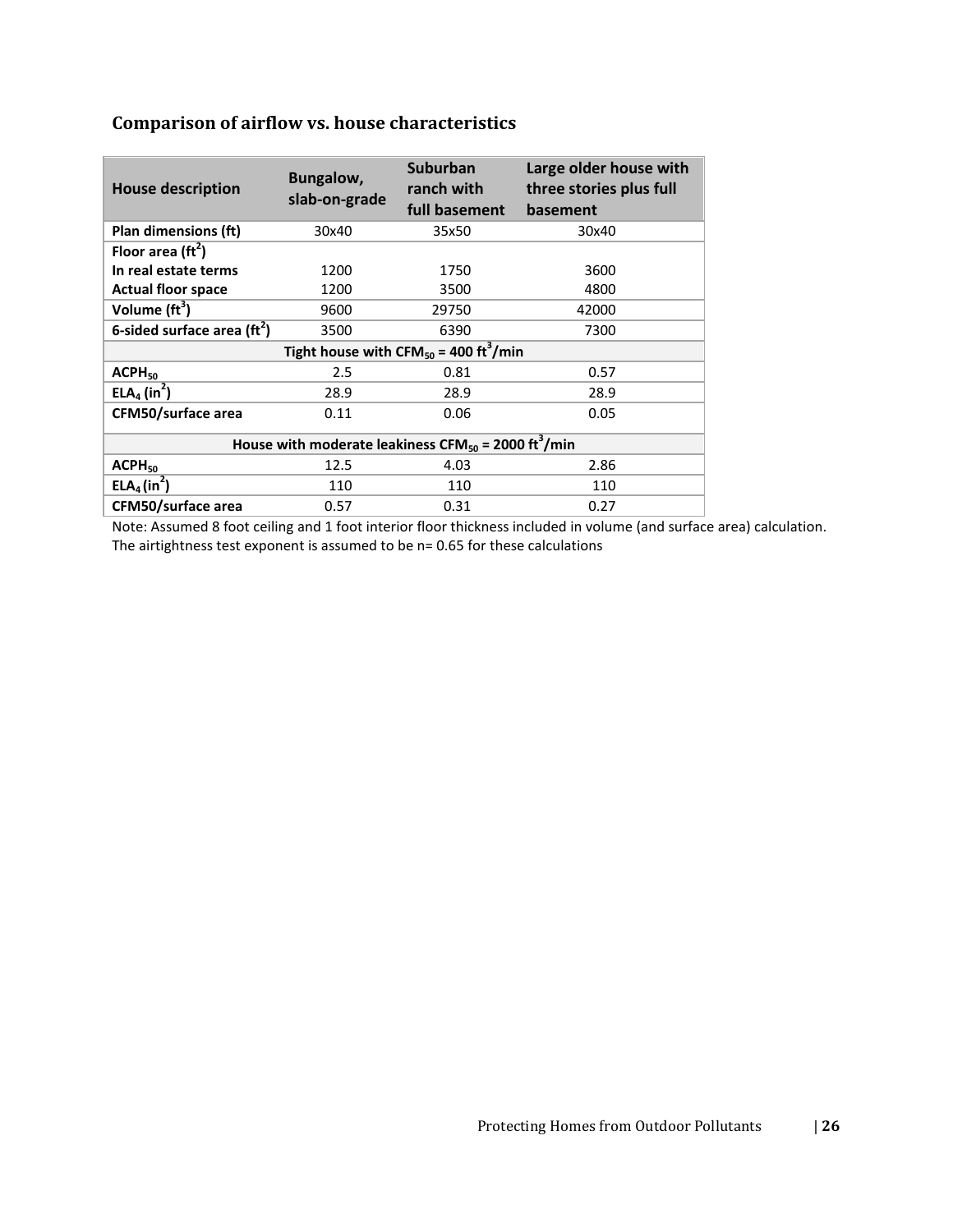# **Comparison of airflow vs. house characteristics**

| <b>House description</b>                                                    | Bungalow,<br>slab-on-grade | <b>Suburban</b><br>ranch with<br>full basement | Large older house with<br>three stories plus full<br>basement |  |  |  |  |
|-----------------------------------------------------------------------------|----------------------------|------------------------------------------------|---------------------------------------------------------------|--|--|--|--|
| Plan dimensions (ft)                                                        | 30x40                      | 35x50                                          | 30x40                                                         |  |  |  |  |
| Floor area $(\text{ft}^2)$                                                  |                            |                                                |                                                               |  |  |  |  |
| In real estate terms                                                        | 1200                       | 1750                                           | 3600                                                          |  |  |  |  |
| <b>Actual floor space</b>                                                   | 1200                       | 3500                                           | 4800                                                          |  |  |  |  |
| Volume $\text{ft}^3$ )                                                      | 9600                       | 29750                                          | 42000                                                         |  |  |  |  |
| 6-sided surface area $(rt2)$                                                | 3500                       | 6390                                           | 7300                                                          |  |  |  |  |
| Tight house with CFM <sub>50</sub> = 400 ft <sup>3</sup> /min               |                            |                                                |                                                               |  |  |  |  |
| $ACPH_{50}$                                                                 | 2.5                        | 0.81                                           | 0.57                                                          |  |  |  |  |
| ELA <sub>4</sub> (in <sup>2</sup> )                                         | 28.9                       | 28.9                                           | 28.9                                                          |  |  |  |  |
| <b>CFM50/surface area</b>                                                   | 0.11                       | 0.06                                           | 0.05                                                          |  |  |  |  |
| House with moderate leakiness CFM <sub>50</sub> = 2000 ft <sup>3</sup> /min |                            |                                                |                                                               |  |  |  |  |
| ACPH <sub>50</sub>                                                          | 12.5                       | 4.03                                           | 2.86                                                          |  |  |  |  |
| ELA <sub>4</sub> (in <sup>2</sup> )                                         | 110                        | 110                                            | 110                                                           |  |  |  |  |
| CFM50/surface area                                                          | 0.57                       | 0.31                                           | 0.27                                                          |  |  |  |  |

Note: Assumed 8 foot ceiling and 1 foot interior floor thickness included in volume (and surface area) calculation. The airtightness test exponent is assumed to be n= 0.65 for these calculations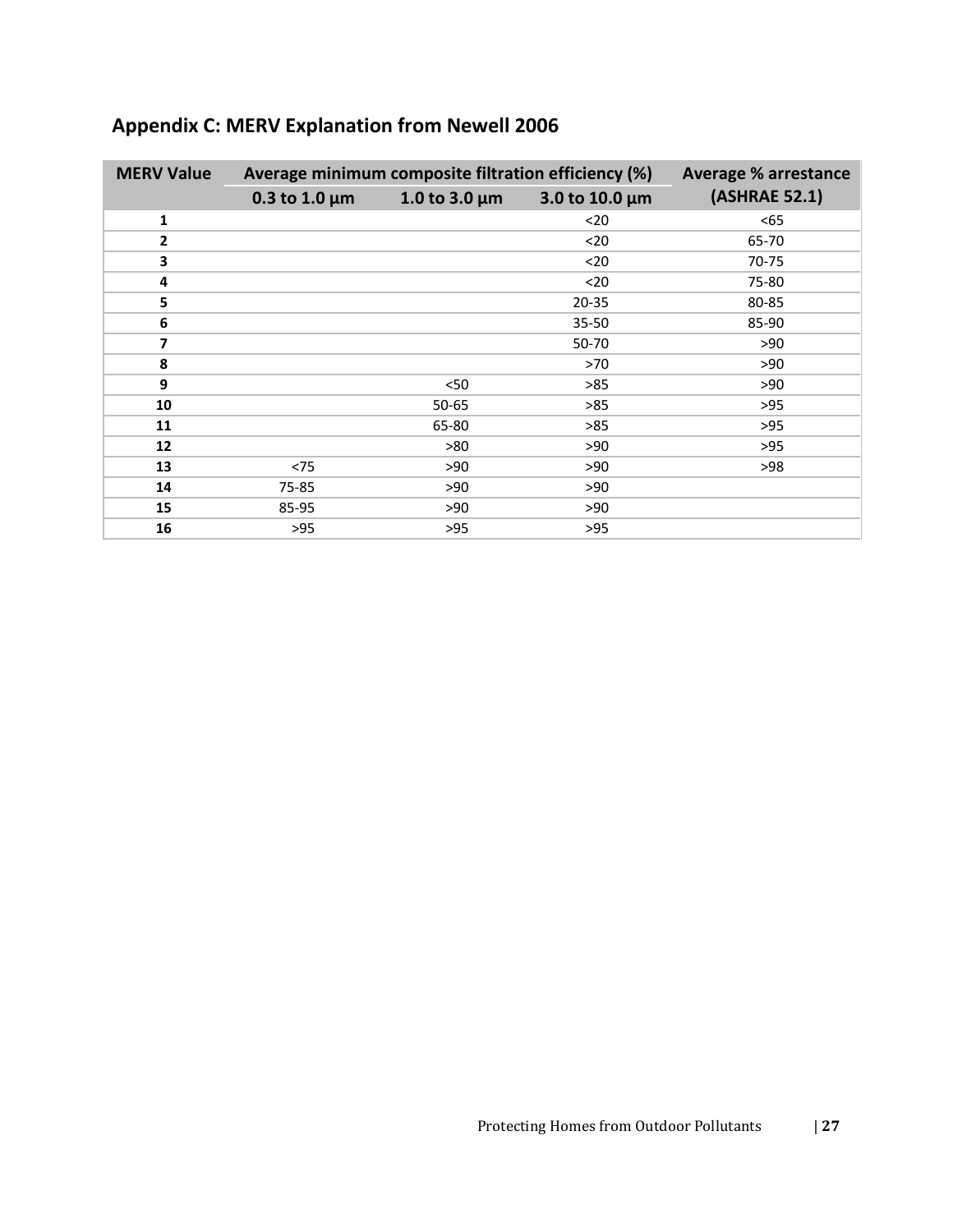| <b>MERV Value</b> | Average minimum composite filtration efficiency (%) | <b>Average % arrestance</b> |                |               |
|-------------------|-----------------------------------------------------|-----------------------------|----------------|---------------|
|                   | 0.3 to 1.0 $\mu$ m                                  | 1.0 to 3.0 $\mu$ m          | 3.0 to 10.0 µm | (ASHRAE 52.1) |
| 1                 |                                                     |                             | $20$           | $65$          |
| $\overline{2}$    |                                                     |                             | $20$           | 65-70         |
| 3                 |                                                     |                             | $20$           | 70-75         |
| 4                 |                                                     |                             | $20$           | 75-80         |
| 5                 |                                                     |                             | $20 - 35$      | 80-85         |
| 6                 |                                                     |                             | 35-50          | 85-90         |
| $\overline{ }$    |                                                     |                             | 50-70          | >90           |
| 8                 |                                                     |                             | >70            | >90           |
| 9                 |                                                     | < 50                        | >85            | >90           |
| 10                |                                                     | $50 - 65$                   | >85            | $>95$         |
| 11                |                                                     | 65-80                       | >85            | >95           |
| 12                |                                                     | >80                         | >90            | >95           |
| 13                | < 75                                                | >90                         | >90            | >98           |
| 14                | 75-85                                               | >90                         | >90            |               |
| 15                | 85-95                                               | >90                         | >90            |               |
| 16                | $>95$                                               | $>95$                       | $>95$          |               |

# <span id="page-29-0"></span>**Appendix C: MERV Explanation from Newell 2006**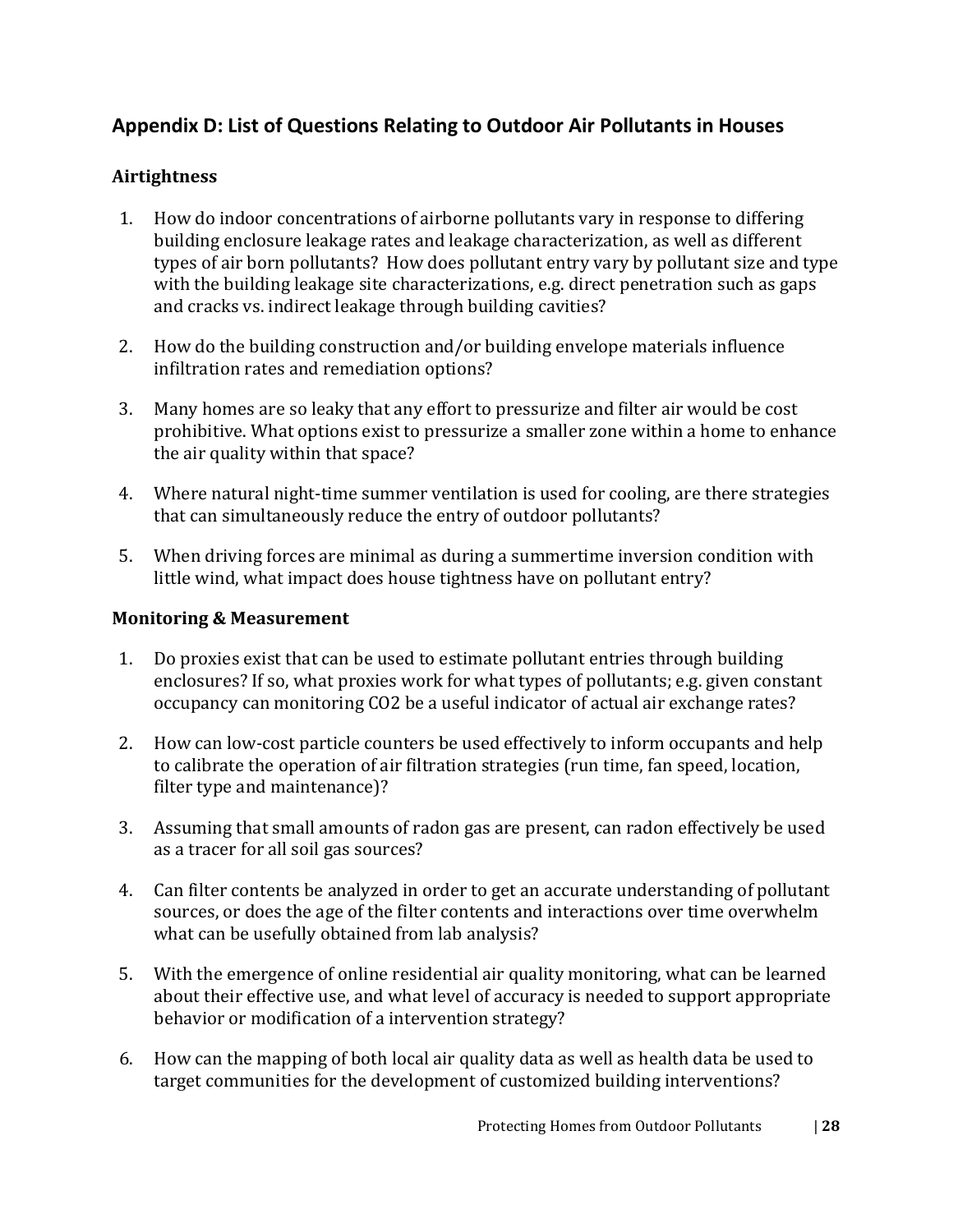# <span id="page-30-0"></span>**Appendix D: List of Questions Relating to Outdoor Air Pollutants in Houses**

#### **Airtightness**

- 1. How do indoor concentrations of airborne pollutants vary in response to differing building enclosure leakage rates and leakage characterization, as well as different types of air born pollutants? How does pollutant entry vary by pollutant size and type with the building leakage site characterizations, e.g. direct penetration such as gaps and cracks vs. indirect leakage through building cavities?
- 2. How do the building construction and/or building envelope materials influence infiltration rates and remediation options?
- 3. Many homes are so leaky that any effort to pressurize and filter air would be cost prohibitive. What options exist to pressurize a smaller zone within a home to enhance the air quality within that space?
- 4. Where natural night-time summer ventilation is used for cooling, are there strategies that can simultaneously reduce the entry of outdoor pollutants?
- 5. When driving forces are minimal as during a summertime inversion condition with little wind, what impact does house tightness have on pollutant entry?

#### **Monitoring & Measurement**

- 1. Do proxies exist that can be used to estimate pollutant entries through building enclosures? If so, what proxies work for what types of pollutants; e.g. given constant occupancy can monitoring CO2 be a useful indicator of actual air exchange rates?
- 2. How can low-cost particle counters be used effectively to inform occupants and help to calibrate the operation of air filtration strategies (run time, fan speed, location, filter type and maintenance)?
- 3. Assuming that small amounts of radon gas are present, can radon effectively be used as a tracer for all soil gas sources?
- 4. Can filter contents be analyzed in order to get an accurate understanding of pollutant sources, or does the age of the filter contents and interactions over time overwhelm what can be usefully obtained from lab analysis?
- 5. With the emergence of online residential air quality monitoring, what can be learned about their effective use, and what level of accuracy is needed to support appropriate behavior or modification of a intervention strategy?
- 6. How can the mapping of both local air quality data as well as health data be used to target communities for the development of customized building interventions?